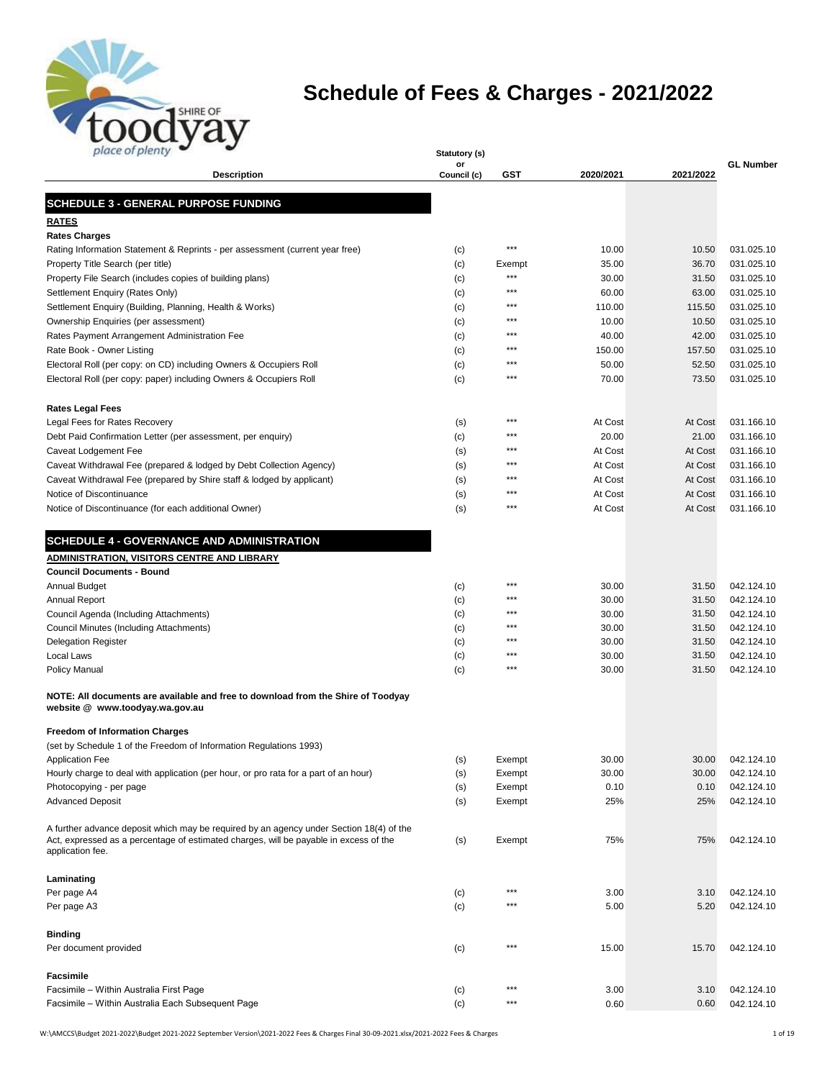

| place of plenty                                                                                                     | Statutory (s)     |                 |                |                |                          |
|---------------------------------------------------------------------------------------------------------------------|-------------------|-----------------|----------------|----------------|--------------------------|
| <b>Description</b>                                                                                                  | or<br>Council (c) | GST             | 2020/2021      | 2021/2022      | <b>GL Number</b>         |
|                                                                                                                     |                   |                 |                |                |                          |
| SCHEDULE 3 - GENERAL PURPOSE FUNDING                                                                                |                   |                 |                |                |                          |
| <b>RATES</b>                                                                                                        |                   |                 |                |                |                          |
| <b>Rates Charges</b>                                                                                                |                   | $***$           |                |                |                          |
| Rating Information Statement & Reprints - per assessment (current year free)                                        | (c)               |                 | 10.00          | 10.50          | 031.025.10               |
| Property Title Search (per title)                                                                                   | (c)               | Exempt<br>$***$ | 35.00          | 36.70          | 031.025.10               |
| Property File Search (includes copies of building plans)                                                            | (c)               | $***$           | 30.00          | 31.50          | 031.025.10               |
| Settlement Enquiry (Rates Only)                                                                                     | (c)               | ***             | 60.00          | 63.00          | 031.025.10               |
| Settlement Enquiry (Building, Planning, Health & Works)                                                             | (c)               | ***             | 110.00         | 115.50         | 031.025.10               |
| Ownership Enquiries (per assessment)                                                                                | (c)               | ***             | 10.00          | 10.50          | 031.025.10               |
| Rates Payment Arrangement Administration Fee                                                                        | (c)               | ***             | 40.00          | 42.00          | 031.025.10               |
| Rate Book - Owner Listing                                                                                           | (c)               | ***             | 150.00         | 157.50         | 031.025.10               |
| Electoral Roll (per copy: on CD) including Owners & Occupiers Roll                                                  | (c)               |                 | 50.00          | 52.50          | 031.025.10               |
| Electoral Roll (per copy: paper) including Owners & Occupiers Roll                                                  | (c)               | ***             | 70.00          | 73.50          | 031.025.10               |
| <b>Rates Legal Fees</b>                                                                                             |                   |                 |                |                |                          |
| Legal Fees for Rates Recovery                                                                                       | (s)               | $***$           | At Cost        | At Cost        | 031.166.10               |
| Debt Paid Confirmation Letter (per assessment, per enquiry)                                                         | (c)               | ***             | 20.00          | 21.00          | 031.166.10               |
| Caveat Lodgement Fee                                                                                                | (s)               | ***             | At Cost        | At Cost        | 031.166.10               |
| Caveat Withdrawal Fee (prepared & lodged by Debt Collection Agency)                                                 | (s)               | ***             | At Cost        | At Cost        | 031.166.10               |
| Caveat Withdrawal Fee (prepared by Shire staff & lodged by applicant)                                               | (s)               | ***             | At Cost        | At Cost        | 031.166.10               |
| Notice of Discontinuance                                                                                            | (s)               | ***             | At Cost        | At Cost        | 031.166.10               |
| Notice of Discontinuance (for each additional Owner)                                                                | (s)               | ***             | At Cost        | At Cost        | 031.166.10               |
| <b>SCHEDULE 4 - GOVERNANCE AND ADMINISTRATION</b>                                                                   |                   |                 |                |                |                          |
|                                                                                                                     |                   |                 |                |                |                          |
| ADMINISTRATION, VISITORS CENTRE AND LIBRARY<br><b>Council Documents - Bound</b>                                     |                   |                 |                |                |                          |
|                                                                                                                     |                   | $***$           |                |                |                          |
| <b>Annual Budget</b>                                                                                                | (c)               | ***             | 30.00          | 31.50          | 042.124.10               |
| <b>Annual Report</b>                                                                                                | (c)               | ***             | 30.00<br>30.00 | 31.50<br>31.50 | 042.124.10<br>042.124.10 |
| Council Agenda (Including Attachments)                                                                              | (c)               | $***$           |                | 31.50          | 042.124.10               |
| Council Minutes (Including Attachments)                                                                             | (c)               | $***$           | 30.00          | 31.50          | 042.124.10               |
| <b>Delegation Register</b>                                                                                          | (c)               | ***             | 30.00<br>30.00 | 31.50          | 042.124.10               |
| Local Laws<br><b>Policy Manual</b>                                                                                  | (c)<br>(c)        | ***             | 30.00          | 31.50          | 042.124.10               |
| NOTE: All documents are available and free to download from the Shire of Toodyay<br>website @ www.toodyay.wa.gov.au |                   |                 |                |                |                          |
|                                                                                                                     |                   |                 |                |                |                          |
| <b>Freedom of Information Charges</b>                                                                               |                   |                 |                |                |                          |
| (set by Schedule 1 of the Freedom of Information Regulations 1993)                                                  |                   |                 |                |                |                          |
| <b>Application Fee</b>                                                                                              | (s)               | Exempt          | 30.00          | 30.00          | 042.124.10               |
| Hourly charge to deal with application (per hour, or pro rata for a part of an hour)                                | (s)               | Exempt          | 30.00          | 30.00          | 042.124.10               |
| Photocopying - per page                                                                                             | (s)               | Exempt          | 0.10           | 0.10           | 042.124.10               |
| <b>Advanced Deposit</b>                                                                                             | (s)               | Exempt          | 25%            | 25%            | 042.124.10               |
| A further advance deposit which may be required by an agency under Section 18(4) of the                             |                   |                 |                |                |                          |
| Act, expressed as a percentage of estimated charges, will be payable in excess of the<br>application fee.           | (s)               | Exempt          | 75%            | 75%            | 042.124.10               |
| Laminating                                                                                                          |                   |                 |                |                |                          |
| Per page A4                                                                                                         | (c)               | $***$           | 3.00           | 3.10           | 042.124.10               |
| Per page A3                                                                                                         | (c)               | $***$           | 5.00           | 5.20           | 042.124.10               |
| <b>Binding</b>                                                                                                      |                   |                 |                |                |                          |
| Per document provided                                                                                               | (c)               | $***$           | 15.00          | 15.70          | 042.124.10               |
| Facsimile                                                                                                           |                   |                 |                |                |                          |
| Facsimile - Within Australia First Page                                                                             | (c)               | $***$           | 3.00           | 3.10           | 042.124.10               |
| Facsimile - Within Australia Each Subsequent Page                                                                   | (c)               | $***$           | 0.60           | 0.60           | 042.124.10               |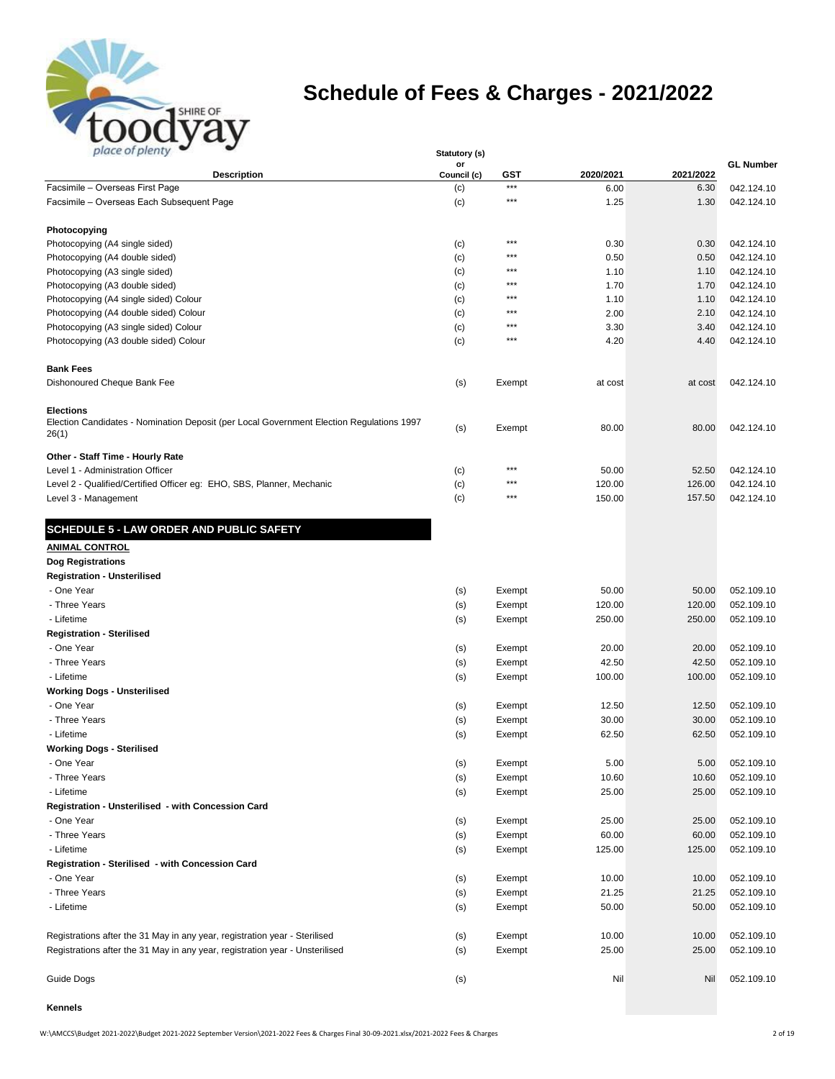

| place of plenty                                                                                              | Statutory (s)     |        |           |           |                  |
|--------------------------------------------------------------------------------------------------------------|-------------------|--------|-----------|-----------|------------------|
| <b>Description</b>                                                                                           | or<br>Council (c) | GST    | 2020/2021 | 2021/2022 | <b>GL Number</b> |
| Facsimile - Overseas First Page                                                                              | (c)               | $***$  | 6.00      | 6.30      | 042.124.10       |
| Facsimile - Overseas Each Subsequent Page                                                                    | (c)               | $***$  | 1.25      | 1.30      | 042.124.10       |
| Photocopying                                                                                                 |                   |        |           |           |                  |
| Photocopying (A4 single sided)                                                                               | (c)               | $***$  | 0.30      | 0.30      | 042.124.10       |
| Photocopying (A4 double sided)                                                                               | (c)               | $***$  | 0.50      | 0.50      | 042.124.10       |
| Photocopying (A3 single sided)                                                                               | (c)               | $***$  | 1.10      | 1.10      | 042.124.10       |
| Photocopying (A3 double sided)                                                                               | (c)               | ***    | 1.70      | 1.70      | 042.124.10       |
| Photocopying (A4 single sided) Colour                                                                        | (c)               | ***    | 1.10      | 1.10      | 042.124.10       |
| Photocopying (A4 double sided) Colour                                                                        | (c)               | ***    | 2.00      | 2.10      | 042.124.10       |
| Photocopying (A3 single sided) Colour                                                                        | (c)               | ***    | 3.30      | 3.40      | 042.124.10       |
| Photocopying (A3 double sided) Colour                                                                        | (c)               | $***$  | 4.20      | 4.40      | 042.124.10       |
| <b>Bank Fees</b>                                                                                             |                   |        |           |           |                  |
| Dishonoured Cheque Bank Fee                                                                                  | (s)               | Exempt | at cost   | at cost   | 042.124.10       |
| <b>Elections</b><br>Election Candidates - Nomination Deposit (per Local Government Election Regulations 1997 |                   |        |           |           |                  |
| 26(1)                                                                                                        | (s)               | Exempt | 80.00     | 80.00     | 042.124.10       |
| Other - Staff Time - Hourly Rate                                                                             |                   | ***    |           |           |                  |
| Level 1 - Administration Officer                                                                             | (c)               | $***$  | 50.00     | 52.50     | 042.124.10       |
| Level 2 - Qualified/Certified Officer eg: EHO, SBS, Planner, Mechanic                                        | (c)               | ***    | 120.00    | 126.00    | 042.124.10       |
| Level 3 - Management                                                                                         | (c)               |        | 150.00    | 157.50    | 042.124.10       |
| SCHEDULE 5 - LAW ORDER AND PUBLIC SAFETY                                                                     |                   |        |           |           |                  |
| <b>ANIMAL CONTROL</b>                                                                                        |                   |        |           |           |                  |
| <b>Dog Registrations</b>                                                                                     |                   |        |           |           |                  |
| <b>Registration - Unsterilised</b>                                                                           |                   |        |           |           |                  |
| - One Year                                                                                                   | (s)               | Exempt | 50.00     | 50.00     | 052.109.10       |
| - Three Years                                                                                                | (s)               | Exempt | 120.00    | 120.00    | 052.109.10       |
| - Lifetime                                                                                                   | (s)               | Exempt | 250.00    | 250.00    | 052.109.10       |
| <b>Registration - Sterilised</b>                                                                             |                   |        |           |           |                  |
| - One Year                                                                                                   | (s)               | Exempt | 20.00     | 20.00     | 052.109.10       |
| - Three Years                                                                                                | (s)               | Exempt | 42.50     | 42.50     | 052.109.10       |
| - Lifetime                                                                                                   | (s)               | Exempt | 100.00    | 100.00    | 052.109.10       |
| <b>Working Dogs - Unsterilised</b>                                                                           |                   |        |           |           |                  |
| - One Year                                                                                                   | (s)               | Exempt | 12.50     | 12.50     | 052.109.10       |
| - Three Years                                                                                                | (s)               | Exempt | 30.00     | 30.00     | 052.109.10       |
| - Lifetime                                                                                                   | (s)               | Exempt | 62.50     | 62.50     | 052.109.10       |
| <b>Working Dogs - Sterilised</b>                                                                             |                   |        |           |           |                  |
| - One Year                                                                                                   | (s)               | Exempt | 5.00      | 5.00      | 052.109.10       |
| - Three Years                                                                                                | (s)               | Exempt | 10.60     | 10.60     | 052.109.10       |
| - Lifetime                                                                                                   | (s)               | Exempt | 25.00     | 25.00     | 052.109.10       |
| Registration - Unsterilised - with Concession Card                                                           |                   |        |           |           |                  |
| - One Year                                                                                                   | (s)               | Exempt | 25.00     | 25.00     | 052.109.10       |
| - Three Years                                                                                                | (s)               | Exempt | 60.00     | 60.00     | 052.109.10       |
| - Lifetime                                                                                                   | (s)               | Exempt | 125.00    | 125.00    | 052.109.10       |
| Registration - Sterilised - with Concession Card                                                             |                   |        |           |           |                  |
| - One Year                                                                                                   | (s)               | Exempt | 10.00     | 10.00     | 052.109.10       |
| - Three Years                                                                                                | (s)               | Exempt | 21.25     | 21.25     | 052.109.10       |
| - Lifetime                                                                                                   | (s)               | Exempt | 50.00     | 50.00     | 052.109.10       |
|                                                                                                              |                   |        |           |           |                  |
| Registrations after the 31 May in any year, registration year - Sterilised                                   | (s)               | Exempt | 10.00     | 10.00     | 052.109.10       |
| Registrations after the 31 May in any year, registration year - Unsterilised                                 | (s)               | Exempt | 25.00     | 25.00     | 052.109.10       |
| Guide Dogs                                                                                                   | (s)               |        | Nil       | Nil       | 052.109.10       |

#### **Kennels**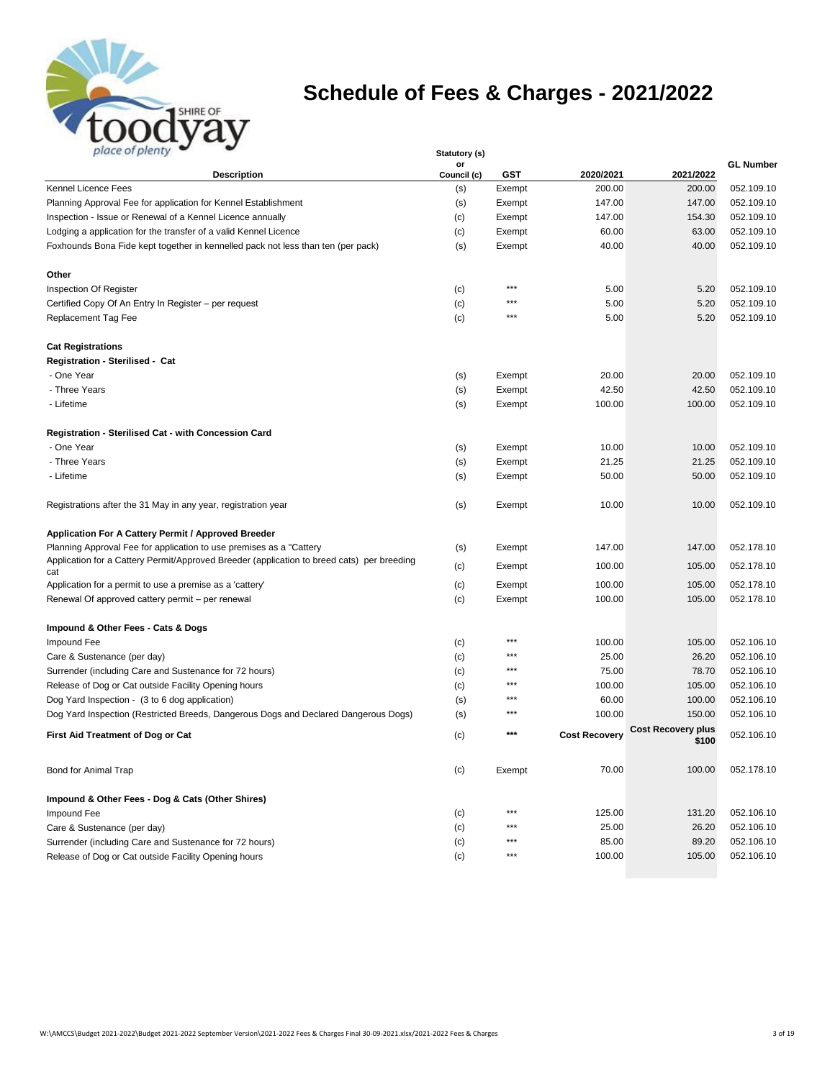

| place of plenty                                                                                   | Statutory (s)     |            |                      |                                    |                  |
|---------------------------------------------------------------------------------------------------|-------------------|------------|----------------------|------------------------------------|------------------|
| <b>Description</b>                                                                                | or<br>Council (c) | <b>GST</b> | 2020/2021            | 2021/2022                          | <b>GL Number</b> |
| Kennel Licence Fees                                                                               | (s)               | Exempt     | 200.00               | 200.00                             | 052.109.10       |
| Planning Approval Fee for application for Kennel Establishment                                    | (s)               | Exempt     | 147.00               | 147.00                             | 052.109.10       |
| Inspection - Issue or Renewal of a Kennel Licence annually                                        | (c)               | Exempt     | 147.00               | 154.30                             | 052.109.10       |
| Lodging a application for the transfer of a valid Kennel Licence                                  | (c)               | Exempt     | 60.00                | 63.00                              | 052.109.10       |
| Foxhounds Bona Fide kept together in kennelled pack not less than ten (per pack)                  | (s)               | Exempt     | 40.00                | 40.00                              | 052.109.10       |
| Other                                                                                             |                   |            |                      |                                    |                  |
| <b>Inspection Of Register</b>                                                                     | (c)               | $***$      | 5.00                 | 5.20                               | 052.109.10       |
| Certified Copy Of An Entry In Register - per request                                              | (c)               | $***$      | 5.00                 | 5.20                               | 052.109.10       |
| Replacement Tag Fee                                                                               | (c)               | ***        | 5.00                 | 5.20                               | 052.109.10       |
| <b>Cat Registrations</b>                                                                          |                   |            |                      |                                    |                  |
| <b>Registration - Sterilised - Cat</b>                                                            |                   |            |                      |                                    |                  |
| - One Year                                                                                        | (s)               | Exempt     | 20.00                | 20.00                              | 052.109.10       |
| - Three Years                                                                                     | (s)               | Exempt     | 42.50                | 42.50                              | 052.109.10       |
| - Lifetime                                                                                        | (s)               | Exempt     | 100.00               | 100.00                             | 052.109.10       |
| Registration - Sterilised Cat - with Concession Card                                              |                   |            |                      |                                    |                  |
| - One Year                                                                                        | (s)               | Exempt     | 10.00                | 10.00                              | 052.109.10       |
| - Three Years                                                                                     | (s)               | Exempt     | 21.25                | 21.25                              | 052.109.10       |
| - Lifetime                                                                                        | (s)               | Exempt     | 50.00                | 50.00                              | 052.109.10       |
| Registrations after the 31 May in any year, registration year                                     | (s)               | Exempt     | 10.00                | 10.00                              | 052.109.10       |
| Application For A Cattery Permit / Approved Breeder                                               |                   |            |                      |                                    |                  |
| Planning Approval Fee for application to use premises as a "Cattery"                              | (s)               | Exempt     | 147.00               | 147.00                             | 052.178.10       |
| Application for a Cattery Permit/Approved Breeder (application to breed cats) per breeding<br>cat | (c)               | Exempt     | 100.00               | 105.00                             | 052.178.10       |
| Application for a permit to use a premise as a 'cattery'                                          | (c)               | Exempt     | 100.00               | 105.00                             | 052.178.10       |
| Renewal Of approved cattery permit – per renewal                                                  | (c)               | Exempt     | 100.00               | 105.00                             | 052.178.10       |
| Impound & Other Fees - Cats & Dogs                                                                |                   |            |                      |                                    |                  |
| Impound Fee                                                                                       | (c)               | $***$      | 100.00               | 105.00                             | 052.106.10       |
| Care & Sustenance (per day)                                                                       | (c)               | $***$      | 25.00                | 26.20                              | 052.106.10       |
| Surrender (including Care and Sustenance for 72 hours)                                            | (c)               | $***$      | 75.00                | 78.70                              | 052.106.10       |
| Release of Dog or Cat outside Facility Opening hours                                              | (c)               | ***        | 100.00               | 105.00                             | 052.106.10       |
| Dog Yard Inspection - (3 to 6 dog application)                                                    | (s)               | $***$      | 60.00                | 100.00                             | 052.106.10       |
| Dog Yard Inspection (Restricted Breeds, Dangerous Dogs and Declared Dangerous Dogs)               | (s)               | $***$      | 100.00               | 150.00                             | 052.106.10       |
| First Aid Treatment of Dog or Cat                                                                 | (c)               | $***$      | <b>Cost Recoverv</b> | <b>Cost Recovery plus</b><br>\$100 | 052.106.10       |
| Bond for Animal Trap                                                                              | (c)               | Exempt     | 70.00                | 100.00                             | 052.178.10       |
| Impound & Other Fees - Dog & Cats (Other Shires)                                                  |                   |            |                      |                                    |                  |
| Impound Fee                                                                                       | (c)               | $***$      | 125.00               | 131.20                             | 052.106.10       |
| Care & Sustenance (per day)                                                                       | (c)               | ***        | 25.00                | 26.20                              | 052.106.10       |
| Surrender (including Care and Sustenance for 72 hours)                                            | (c)               | ***        | 85.00                | 89.20                              | 052.106.10       |
| Release of Dog or Cat outside Facility Opening hours                                              | (c)               | ***        | 100.00               | 105.00                             | 052.106.10       |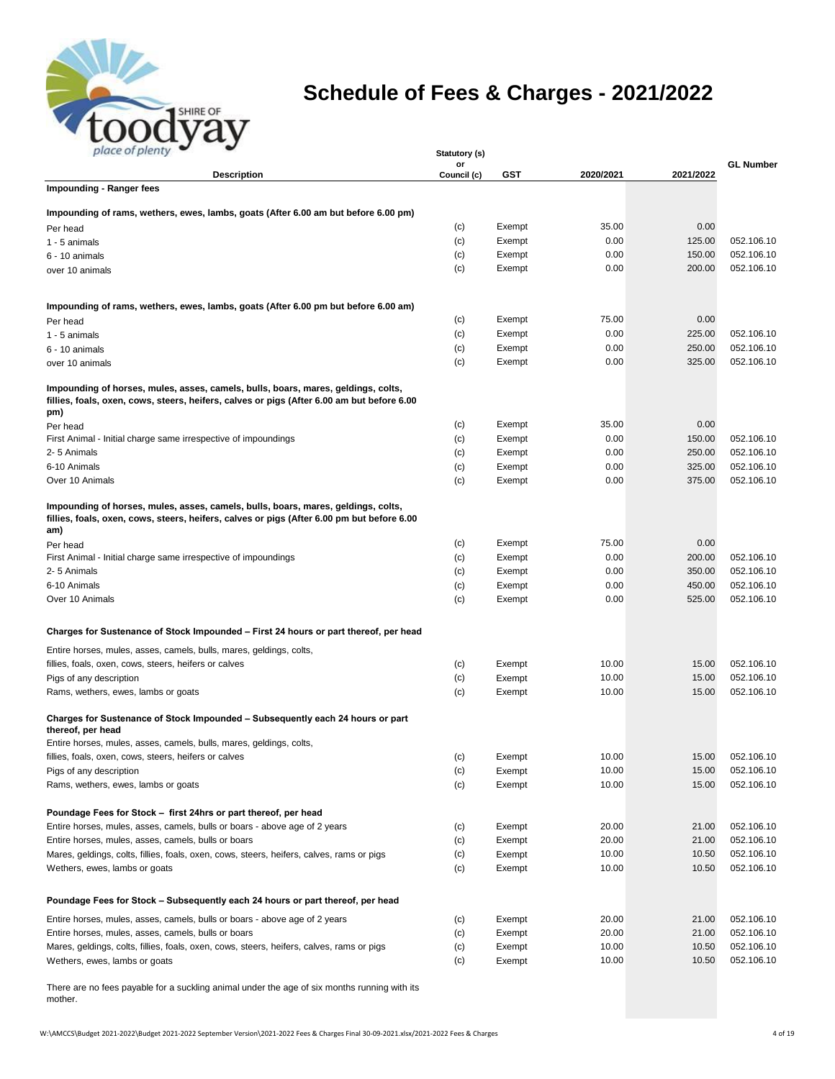

| place of plenty                                                                                                                                                                        | Statutory (s)     |        |           |           |                  |
|----------------------------------------------------------------------------------------------------------------------------------------------------------------------------------------|-------------------|--------|-----------|-----------|------------------|
| <b>Description</b>                                                                                                                                                                     | or<br>Council (c) | GST    | 2020/2021 | 2021/2022 | <b>GL Number</b> |
| Impounding - Ranger fees                                                                                                                                                               |                   |        |           |           |                  |
| Impounding of rams, wethers, ewes, lambs, goats (After 6.00 am but before 6.00 pm)                                                                                                     |                   |        |           |           |                  |
| Per head                                                                                                                                                                               | (c)               | Exempt | 35.00     | 0.00      |                  |
| 1 - 5 animals                                                                                                                                                                          | (c)               | Exempt | 0.00      | 125.00    | 052.106.10       |
| $6 - 10$ animals                                                                                                                                                                       | (c)               | Exempt | 0.00      | 150.00    | 052.106.10       |
| over 10 animals                                                                                                                                                                        | (c)               | Exempt | 0.00      | 200.00    | 052.106.10       |
| Impounding of rams, wethers, ewes, lambs, goats (After 6.00 pm but before 6.00 am)                                                                                                     |                   |        |           |           |                  |
| Per head                                                                                                                                                                               | (c)               | Exempt | 75.00     | 0.00      |                  |
|                                                                                                                                                                                        | (c)               | Exempt | 0.00      | 225.00    | 052.106.10       |
| 1 - 5 animals                                                                                                                                                                          |                   |        |           |           | 052.106.10       |
| $6 - 10$ animals                                                                                                                                                                       | (c)               | Exempt | 0.00      | 250.00    |                  |
| over 10 animals                                                                                                                                                                        | (c)               | Exempt | 0.00      | 325.00    | 052.106.10       |
| Impounding of horses, mules, asses, camels, bulls, boars, mares, geldings, colts,<br>fillies, foals, oxen, cows, steers, heifers, calves or pigs (After 6.00 am but before 6.00<br>pm) |                   |        |           |           |                  |
| Per head                                                                                                                                                                               | (c)               | Exempt | 35.00     | 0.00      |                  |
| First Animal - Initial charge same irrespective of impoundings                                                                                                                         | (c)               | Exempt | 0.00      | 150.00    | 052.106.10       |
| 2-5 Animals                                                                                                                                                                            | (c)               | Exempt | 0.00      | 250.00    | 052.106.10       |
| 6-10 Animals                                                                                                                                                                           | (c)               | Exempt | 0.00      | 325.00    | 052.106.10       |
| Over 10 Animals                                                                                                                                                                        | (c)               | Exempt | 0.00      | 375.00    | 052.106.10       |
| Impounding of horses, mules, asses, camels, bulls, boars, mares, geldings, colts,<br>fillies, foals, oxen, cows, steers, heifers, calves or pigs (After 6.00 pm but before 6.00<br>am) |                   |        |           |           |                  |
| Per head                                                                                                                                                                               | (c)               | Exempt | 75.00     | 0.00      |                  |
| First Animal - Initial charge same irrespective of impoundings                                                                                                                         | (c)               | Exempt | 0.00      | 200.00    | 052.106.10       |
| 2-5 Animals                                                                                                                                                                            | (c)               | Exempt | 0.00      | 350.00    | 052.106.10       |
| 6-10 Animals                                                                                                                                                                           |                   | Exempt | 0.00      | 450.00    | 052.106.10       |
| Over 10 Animals                                                                                                                                                                        | (c)<br>(c)        | Exempt | 0.00      | 525.00    | 052.106.10       |
| Charges for Sustenance of Stock Impounded - First 24 hours or part thereof, per head                                                                                                   |                   |        |           |           |                  |
|                                                                                                                                                                                        |                   |        |           |           |                  |
| Entire horses, mules, asses, camels, bulls, mares, geldings, colts,                                                                                                                    |                   |        |           |           |                  |
| fillies, foals, oxen, cows, steers, heifers or calves                                                                                                                                  | (c)               | Exempt | 10.00     | 15.00     | 052.106.10       |
| Pigs of any description                                                                                                                                                                | (c)               | Exempt | 10.00     | 15.00     | 052.106.10       |
| Rams, wethers, ewes, lambs or goats                                                                                                                                                    | (c)               | Exempt | 10.00     | 15.00     | 052.106.10       |
| Charges for Sustenance of Stock Impounded - Subsequently each 24 hours or part<br>thereof, per head                                                                                    |                   |        |           |           |                  |
| Entire horses, mules, asses, camels, bulls, mares, geldings, colts,                                                                                                                    |                   |        |           |           |                  |
| fillies, foals, oxen, cows, steers, heifers or calves                                                                                                                                  | (c)               | Exempt | 10.00     | 15.00     | 052.106.10       |
| Pigs of any description                                                                                                                                                                | (c)               | Exempt | 10.00     | 15.00     | 052.106.10       |
| Rams, wethers, ewes, lambs or goats                                                                                                                                                    | (c)               | Exempt | 10.00     | 15.00     | 052.106.10       |
| Poundage Fees for Stock - first 24hrs or part thereof, per head                                                                                                                        |                   |        |           |           |                  |
| Entire horses, mules, asses, camels, bulls or boars - above age of 2 years                                                                                                             | (c)               | Exempt | 20.00     | 21.00     | 052.106.10       |
| Entire horses, mules, asses, camels, bulls or boars                                                                                                                                    | (c)               | Exempt | 20.00     | 21.00     | 052.106.10       |
| Mares, geldings, colts, fillies, foals, oxen, cows, steers, heifers, calves, rams or pigs                                                                                              | (c)               | Exempt | 10.00     | 10.50     | 052.106.10       |
| Wethers, ewes, lambs or goats                                                                                                                                                          | (c)               | Exempt | 10.00     | 10.50     | 052.106.10       |
| Poundage Fees for Stock – Subsequently each 24 hours or part thereof, per head                                                                                                         |                   |        |           |           |                  |
| Entire horses, mules, asses, camels, bulls or boars - above age of 2 years                                                                                                             |                   |        | 20.00     | 21.00     | 052.106.10       |
|                                                                                                                                                                                        | (c)               | Exempt |           |           | 052.106.10       |
| Entire horses, mules, asses, camels, bulls or boars                                                                                                                                    | (c)               | Exempt | 20.00     | 21.00     |                  |
| Mares, geldings, colts, fillies, foals, oxen, cows, steers, heifers, calves, rams or pigs                                                                                              | (c)               | Exempt | 10.00     | 10.50     | 052.106.10       |
| Wethers, ewes, lambs or goats                                                                                                                                                          | (c)               | Exempt | 10.00     | 10.50     | 052.106.10       |

There are no fees payable for a suckling animal under the age of six months running with its mother.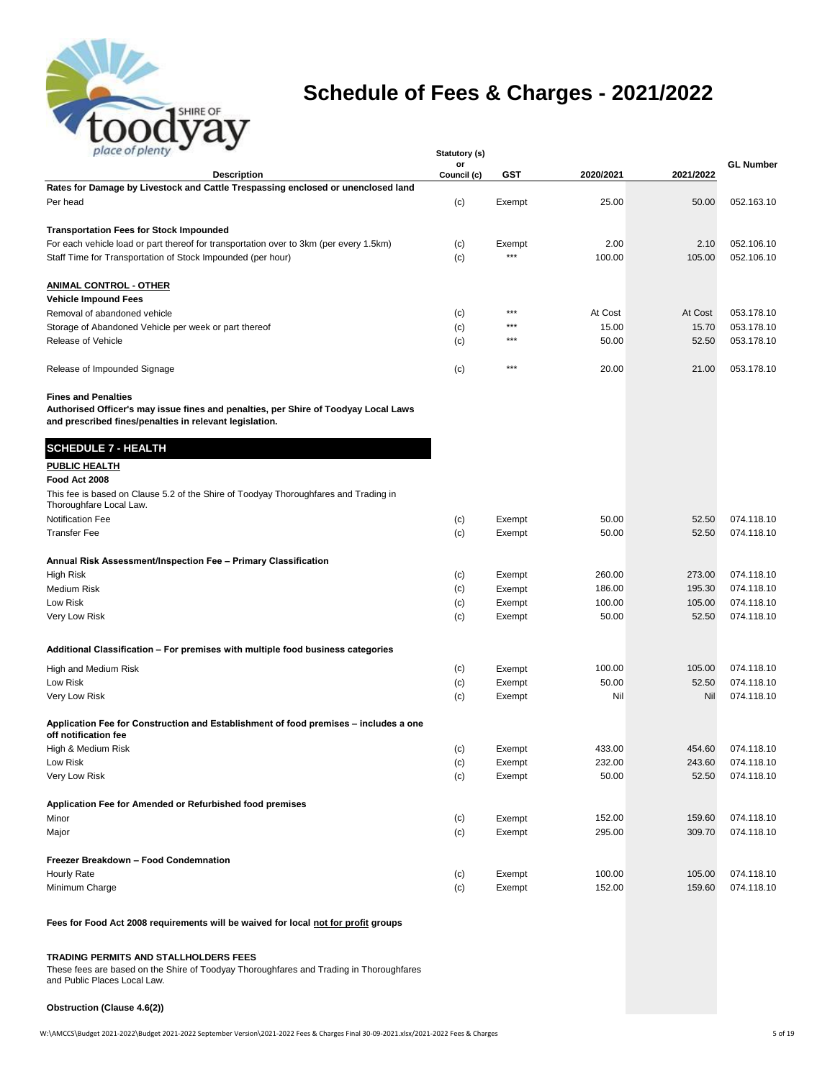

| place of plenty                                                                                                                                | Statutory (s)<br>or |            |           |           | <b>GL Number</b> |
|------------------------------------------------------------------------------------------------------------------------------------------------|---------------------|------------|-----------|-----------|------------------|
| <b>Description</b>                                                                                                                             | Council (c)         | <b>GST</b> | 2020/2021 | 2021/2022 |                  |
| Rates for Damage by Livestock and Cattle Trespassing enclosed or unenclosed land                                                               |                     |            |           |           |                  |
| Per head                                                                                                                                       | (c)                 | Exempt     | 25.00     | 50.00     | 052.163.10       |
| <b>Transportation Fees for Stock Impounded</b>                                                                                                 |                     |            |           |           |                  |
| For each vehicle load or part thereof for transportation over to 3km (per every 1.5km)                                                         | (c)                 | Exempt     | 2.00      | 2.10      | 052.106.10       |
| Staff Time for Transportation of Stock Impounded (per hour)                                                                                    | (c)                 | $***$      | 100.00    | 105.00    | 052.106.10       |
| <b>ANIMAL CONTROL - OTHER</b>                                                                                                                  |                     |            |           |           |                  |
| <b>Vehicle Impound Fees</b>                                                                                                                    |                     |            |           |           |                  |
| Removal of abandoned vehicle                                                                                                                   | (c)                 | ***        | At Cost   | At Cost   | 053.178.10       |
| Storage of Abandoned Vehicle per week or part thereof                                                                                          | (c)                 | ***        | 15.00     | 15.70     | 053.178.10       |
| Release of Vehicle                                                                                                                             | (c)                 | ***        | 50.00     | 52.50     | 053.178.10       |
| Release of Impounded Signage                                                                                                                   | (c)                 | $***$      | 20.00     | 21.00     | 053.178.10       |
| <b>Fines and Penalties</b>                                                                                                                     |                     |            |           |           |                  |
| Authorised Officer's may issue fines and penalties, per Shire of Toodyay Local Laws<br>and prescribed fines/penalties in relevant legislation. |                     |            |           |           |                  |
| <b>SCHEDULE 7 - HEALTH</b>                                                                                                                     |                     |            |           |           |                  |
| <b>PUBLIC HEALTH</b>                                                                                                                           |                     |            |           |           |                  |
| Food Act 2008                                                                                                                                  |                     |            |           |           |                  |
| This fee is based on Clause 5.2 of the Shire of Toodyay Thoroughfares and Trading in<br>Thoroughfare Local Law.                                |                     |            |           |           |                  |
| <b>Notification Fee</b>                                                                                                                        | (c)                 | Exempt     | 50.00     | 52.50     | 074.118.10       |
| <b>Transfer Fee</b>                                                                                                                            | (c)                 | Exempt     | 50.00     | 52.50     | 074.118.10       |
| Annual Risk Assessment/Inspection Fee - Primary Classification                                                                                 |                     |            |           |           |                  |
| <b>High Risk</b>                                                                                                                               | (c)                 | Exempt     | 260.00    | 273.00    | 074.118.10       |
| <b>Medium Risk</b>                                                                                                                             | (c)                 | Exempt     | 186.00    | 195.30    | 074.118.10       |
| Low Risk                                                                                                                                       | (c)                 | Exempt     | 100.00    | 105.00    | 074.118.10       |
| Very Low Risk                                                                                                                                  | (c)                 | Exempt     | 50.00     | 52.50     | 074.118.10       |
| Additional Classification - For premises with multiple food business categories                                                                |                     |            |           |           |                  |
| High and Medium Risk                                                                                                                           | (c)                 | Exempt     | 100.00    | 105.00    | 074.118.10       |
| Low Risk                                                                                                                                       | (c)                 | Exempt     | 50.00     | 52.50     | 074.118.10       |
| Very Low Risk                                                                                                                                  | (c)                 | Exempt     | Nil       | Nil       | 074.118.10       |
| Application Fee for Construction and Establishment of food premises - includes a one<br>off notification fee                                   |                     |            |           |           |                  |
| High & Medium Risk                                                                                                                             | (c)                 | Exempt     | 433.00    | 454.60    | 074.118.10       |
| Low Risk                                                                                                                                       | (c)                 | Exempt     | 232.00    | 243.60    | 074.118.10       |
| Very Low Risk                                                                                                                                  | (c)                 | Exempt     | 50.00     | 52.50     | 074.118.10       |
| Application Fee for Amended or Refurbished food premises                                                                                       |                     |            |           |           |                  |
| Minor                                                                                                                                          | (c)                 | Exempt     | 152.00    | 159.60    | 074.118.10       |
| Major                                                                                                                                          | (c)                 | Exempt     | 295.00    | 309.70    | 074.118.10       |
| Freezer Breakdown - Food Condemnation                                                                                                          |                     |            |           |           |                  |
| Hourly Rate                                                                                                                                    | (c)                 | Exempt     | 100.00    | 105.00    | 074.118.10       |
| Minimum Charge                                                                                                                                 | (c)                 | Exempt     | 152.00    | 159.60    | 074.118.10       |

**Fees for Food Act 2008 requirements will be waived for local not for profit groups**

#### **TRADING PERMITS AND STALLHOLDERS FEES**

These fees are based on the Shire of Toodyay Thoroughfares and Trading in Thoroughfares and Public Places Local Law.

#### **Obstruction (Clause 4.6(2))**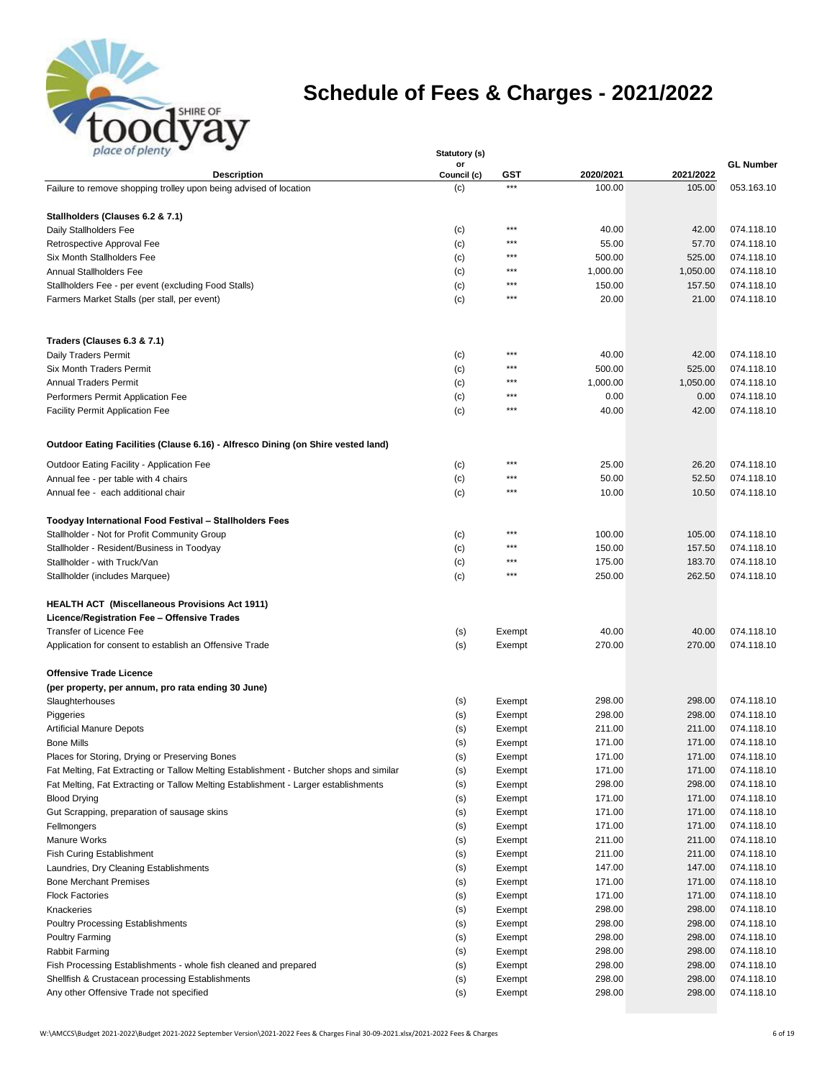

| place of plenty                                                                         | Statutory (s)     |        |           |           |                  |
|-----------------------------------------------------------------------------------------|-------------------|--------|-----------|-----------|------------------|
| <b>Description</b>                                                                      | or<br>Council (c) | GST    | 2020/2021 | 2021/2022 | <b>GL Number</b> |
| Failure to remove shopping trolley upon being advised of location                       | (c)               | $***$  | 100.00    | 105.00    | 053.163.10       |
|                                                                                         |                   |        |           |           |                  |
| Stallholders (Clauses 6.2 & 7.1)                                                        |                   |        |           |           |                  |
| Daily Stallholders Fee                                                                  | (c)               | $***$  | 40.00     | 42.00     | 074.118.10       |
| Retrospective Approval Fee                                                              | (c)               | ***    | 55.00     | 57.70     | 074.118.10       |
| <b>Six Month Stallholders Fee</b>                                                       | (c)               | ***    | 500.00    | 525.00    | 074.118.10       |
| <b>Annual Stallholders Fee</b>                                                          | (c)               | $***$  | 1,000.00  | 1,050.00  | 074.118.10       |
| Stallholders Fee - per event (excluding Food Stalls)                                    | (c)               | ***    | 150.00    | 157.50    | 074.118.10       |
| Farmers Market Stalls (per stall, per event)                                            | (c)               | ***    | 20.00     | 21.00     | 074.118.10       |
| Traders (Clauses 6.3 & 7.1)                                                             |                   |        |           |           |                  |
| Daily Traders Permit                                                                    | (c)               | ***    | 40.00     | 42.00     | 074.118.10       |
| <b>Six Month Traders Permit</b>                                                         | (c)               | ***    | 500.00    | 525.00    | 074.118.10       |
| <b>Annual Traders Permit</b>                                                            | (c)               | ***    | 1,000.00  | 1,050.00  | 074.118.10       |
| Performers Permit Application Fee                                                       | (c)               | ***    | 0.00      | 0.00      | 074.118.10       |
| <b>Facility Permit Application Fee</b>                                                  | (c)               | $***$  | 40.00     | 42.00     | 074.118.10       |
|                                                                                         |                   |        |           |           |                  |
| Outdoor Eating Facilities (Clause 6.16) - Alfresco Dining (on Shire vested land)        |                   |        |           |           |                  |
| Outdoor Eating Facility - Application Fee                                               | (c)               | ***    | 25.00     | 26.20     | 074.118.10       |
| Annual fee - per table with 4 chairs                                                    | (c)               | ***    | 50.00     | 52.50     | 074.118.10       |
| Annual fee - each additional chair                                                      | (c)               | ***    | 10.00     | 10.50     | 074.118.10       |
| Toodyay International Food Festival - Stallholders Fees                                 |                   |        |           |           |                  |
| Stallholder - Not for Profit Community Group                                            | (c)               | ***    | 100.00    | 105.00    | 074.118.10       |
| Stallholder - Resident/Business in Toodyay                                              | (c)               | ***    | 150.00    | 157.50    | 074.118.10       |
| Stallholder - with Truck/Van                                                            | (c)               | ***    | 175.00    | 183.70    | 074.118.10       |
| Stallholder (includes Marquee)                                                          | (c)               | $***$  | 250.00    | 262.50    | 074.118.10       |
| <b>HEALTH ACT (Miscellaneous Provisions Act 1911)</b>                                   |                   |        |           |           |                  |
| Licence/Registration Fee - Offensive Trades                                             |                   |        |           |           |                  |
| <b>Transfer of Licence Fee</b>                                                          | (s)               | Exempt | 40.00     | 40.00     | 074.118.10       |
| Application for consent to establish an Offensive Trade                                 | (s)               | Exempt | 270.00    | 270.00    | 074.118.10       |
| <b>Offensive Trade Licence</b>                                                          |                   |        |           |           |                  |
| (per property, per annum, pro rata ending 30 June)                                      |                   |        |           |           |                  |
| Slaughterhouses                                                                         | (s)               | Exempt | 298.00    | 298.00    | 074.118.10       |
| Piggeries                                                                               | (s)               | Exempt | 298.00    | 298.00    | 074.118.10       |
| <b>Artificial Manure Depots</b>                                                         | (s)               | Exempt | 211.00    | 211.00    | 074.118.10       |
| <b>Bone Mills</b>                                                                       | (s)               | Exempt | 171.00    | 171.00    | 074.118.10       |
| Places for Storing, Drying or Preserving Bones                                          | (s)               | Exempt | 171.00    | 171.00    | 074.118.10       |
| Fat Melting, Fat Extracting or Tallow Melting Establishment - Butcher shops and similar | (s)               | Exempt | 171.00    | 171.00    | 074.118.10       |
| Fat Melting, Fat Extracting or Tallow Melting Establishment - Larger establishments     | (s)               | Exempt | 298.00    | 298.00    | 074.118.10       |
| <b>Blood Drying</b>                                                                     | (s)               | Exempt | 171.00    | 171.00    | 074.118.10       |
| Gut Scrapping, preparation of sausage skins                                             | (s)               | Exempt | 171.00    | 171.00    | 074.118.10       |
| Fellmongers                                                                             | (s)               | Exempt | 171.00    | 171.00    | 074.118.10       |
| Manure Works                                                                            | (s)               | Exempt | 211.00    | 211.00    | 074.118.10       |
| <b>Fish Curing Establishment</b>                                                        | (s)               | Exempt | 211.00    | 211.00    | 074.118.10       |
| Laundries, Dry Cleaning Establishments                                                  | (s)               | Exempt | 147.00    | 147.00    | 074.118.10       |
| <b>Bone Merchant Premises</b>                                                           | (s)               | Exempt | 171.00    | 171.00    | 074.118.10       |
| <b>Flock Factories</b>                                                                  | (s)               | Exempt | 171.00    | 171.00    | 074.118.10       |
| Knackeries                                                                              | (s)               | Exempt | 298.00    | 298.00    | 074.118.10       |
| <b>Poultry Processing Establishments</b>                                                | (s)               | Exempt | 298.00    | 298.00    | 074.118.10       |
| <b>Poultry Farming</b>                                                                  | (s)               | Exempt | 298.00    | 298.00    | 074.118.10       |
| Rabbit Farming                                                                          | (s)               | Exempt | 298.00    | 298.00    | 074.118.10       |
| Fish Processing Establishments - whole fish cleaned and prepared                        | (s)               | Exempt | 298.00    | 298.00    | 074.118.10       |
|                                                                                         |                   |        | 298.00    | 298.00    | 074.118.10       |
| Shellfish & Crustacean processing Establishments                                        | (s)               | Exempt |           |           |                  |
| Any other Offensive Trade not specified                                                 | (s)               | Exempt | 298.00    | 298.00    | 074.118.10       |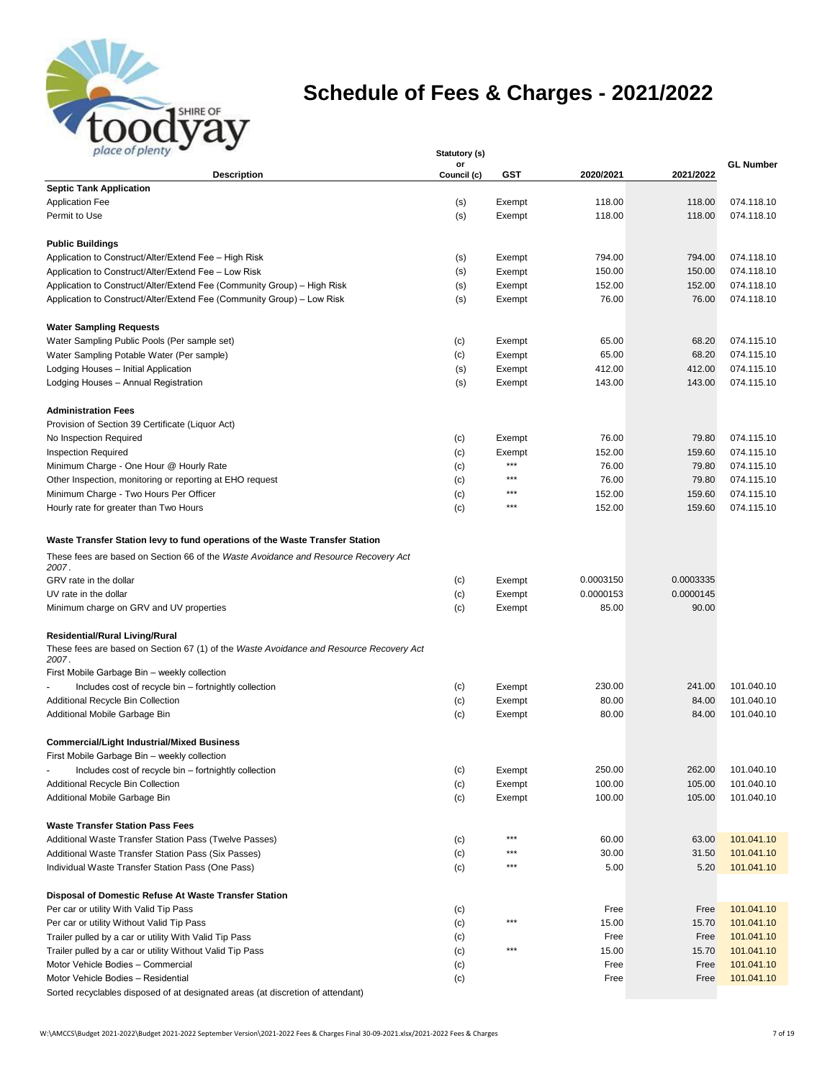

| place of plenty<br>Statutory (s)                                                                                                          |                   |                   |           |           |                  |
|-------------------------------------------------------------------------------------------------------------------------------------------|-------------------|-------------------|-----------|-----------|------------------|
| <b>Description</b>                                                                                                                        | or<br>Council (c) | <b>GST</b>        | 2020/2021 | 2021/2022 | <b>GL Number</b> |
| <b>Septic Tank Application</b>                                                                                                            |                   |                   |           |           |                  |
| <b>Application Fee</b>                                                                                                                    | (s)               | Exempt            | 118.00    | 118.00    | 074.118.10       |
| Permit to Use                                                                                                                             | (s)               | Exempt            | 118.00    | 118.00    | 074.118.10       |
| <b>Public Buildings</b>                                                                                                                   |                   |                   |           |           |                  |
| Application to Construct/Alter/Extend Fee - High Risk                                                                                     | (s)               | Exempt            | 794.00    | 794.00    | 074.118.10       |
| Application to Construct/Alter/Extend Fee - Low Risk                                                                                      | (s)               | Exempt            | 150.00    | 150.00    | 074.118.10       |
| Application to Construct/Alter/Extend Fee (Community Group) – High Risk                                                                   | (s)               | Exempt            | 152.00    | 152.00    | 074.118.10       |
| Application to Construct/Alter/Extend Fee (Community Group) - Low Risk                                                                    | (s)               | Exempt            | 76.00     | 76.00     | 074.118.10       |
| <b>Water Sampling Requests</b>                                                                                                            |                   |                   |           |           |                  |
| Water Sampling Public Pools (Per sample set)                                                                                              | (c)               | Exempt            | 65.00     | 68.20     | 074.115.10       |
| Water Sampling Potable Water (Per sample)                                                                                                 | (c)               | Exempt            | 65.00     | 68.20     | 074.115.10       |
| Lodging Houses - Initial Application                                                                                                      | (s)               | Exempt            | 412.00    | 412.00    | 074.115.10       |
| Lodging Houses - Annual Registration                                                                                                      | (s)               | Exempt            | 143.00    | 143.00    | 074.115.10       |
| <b>Administration Fees</b>                                                                                                                |                   |                   |           |           |                  |
| Provision of Section 39 Certificate (Liquor Act)                                                                                          |                   |                   |           |           |                  |
| No Inspection Required                                                                                                                    | (c)               | Exempt            | 76.00     | 79.80     | 074.115.10       |
| <b>Inspection Required</b>                                                                                                                | (c)               | Exempt            | 152.00    | 159.60    | 074.115.10       |
| Minimum Charge - One Hour @ Hourly Rate                                                                                                   | (c)               | $***$             | 76.00     | 79.80     | 074.115.10       |
| Other Inspection, monitoring or reporting at EHO request                                                                                  | (c)               | $***$             | 76.00     | 79.80     | 074.115.10       |
| Minimum Charge - Two Hours Per Officer                                                                                                    | (c)               | ***               | 152.00    | 159.60    | 074.115.10       |
| Hourly rate for greater than Two Hours                                                                                                    | (c)               | ***               | 152.00    | 159.60    | 074.115.10       |
| Waste Transfer Station levy to fund operations of the Waste Transfer Station                                                              |                   |                   |           |           |                  |
| These fees are based on Section 66 of the Waste Avoidance and Resource Recovery Act<br>2007.                                              |                   |                   |           |           |                  |
| GRV rate in the dollar                                                                                                                    | (c)               | Exempt            | 0.0003150 | 0.0003335 |                  |
| UV rate in the dollar                                                                                                                     | (c)               | Exempt            | 0.0000153 | 0.0000145 |                  |
| Minimum charge on GRV and UV properties                                                                                                   | (c)               | Exempt            | 85.00     | 90.00     |                  |
| <b>Residential/Rural Living/Rural</b><br>These fees are based on Section 67 (1) of the Waste Avoidance and Resource Recovery Act<br>2007. |                   |                   |           |           |                  |
| First Mobile Garbage Bin - weekly collection                                                                                              |                   |                   |           |           |                  |
| Includes cost of recycle bin - fortnightly collection                                                                                     | (c)               | Exempt            | 230.00    | 241.00    | 101.040.10       |
| Additional Recycle Bin Collection                                                                                                         | (c)               | Exempt            | 80.00     | 84.00     | 101.040.10       |
| Additional Mobile Garbage Bin                                                                                                             | (c)               | Exempt            | 80.00     | 84.00     | 101.040.10       |
| <b>Commercial/Light Industrial/Mixed Business</b>                                                                                         |                   |                   |           |           |                  |
| First Mobile Garbage Bin - weekly collection                                                                                              |                   |                   |           |           |                  |
| Includes cost of recycle bin - fortnightly collection                                                                                     | (c)               | Exempt            | 250.00    | 262.00    | 101.040.10       |
| <b>Additional Recycle Bin Collection</b>                                                                                                  | (c)               | Exempt            | 100.00    | 105.00    | 101.040.10       |
| Additional Mobile Garbage Bin                                                                                                             | (c)               | Exempt            | 100.00    | 105.00    | 101.040.10       |
| <b>Waste Transfer Station Pass Fees</b>                                                                                                   |                   |                   |           |           |                  |
| Additional Waste Transfer Station Pass (Twelve Passes)                                                                                    | (c)               | $\star\star\star$ | 60.00     | 63.00     | 101.041.10       |
| Additional Waste Transfer Station Pass (Six Passes)                                                                                       | (c)               | ***               | 30.00     | 31.50     | 101.041.10       |
| Individual Waste Transfer Station Pass (One Pass)                                                                                         | (c)               | ***               | 5.00      | 5.20      | 101.041.10       |
| Disposal of Domestic Refuse At Waste Transfer Station                                                                                     |                   |                   |           |           |                  |
| Per car or utility With Valid Tip Pass                                                                                                    | (c)               | $***$             | Free      | Free      | 101.041.10       |
| Per car or utility Without Valid Tip Pass                                                                                                 | (c)               |                   | 15.00     | 15.70     | 101.041.10       |
| Trailer pulled by a car or utility With Valid Tip Pass                                                                                    | (c)               | ***               | Free      | Free      | 101.041.10       |
| Trailer pulled by a car or utility Without Valid Tip Pass                                                                                 | (c)               |                   | 15.00     | 15.70     | 101.041.10       |
| Motor Vehicle Bodies - Commercial                                                                                                         | (c)               |                   | Free      | Free      | 101.041.10       |
| Motor Vehicle Bodies - Residential                                                                                                        | (c)               |                   | Free      | Free      | 101.041.10       |
| Sorted recyclables disposed of at designated areas (at discretion of attendant)                                                           |                   |                   |           |           |                  |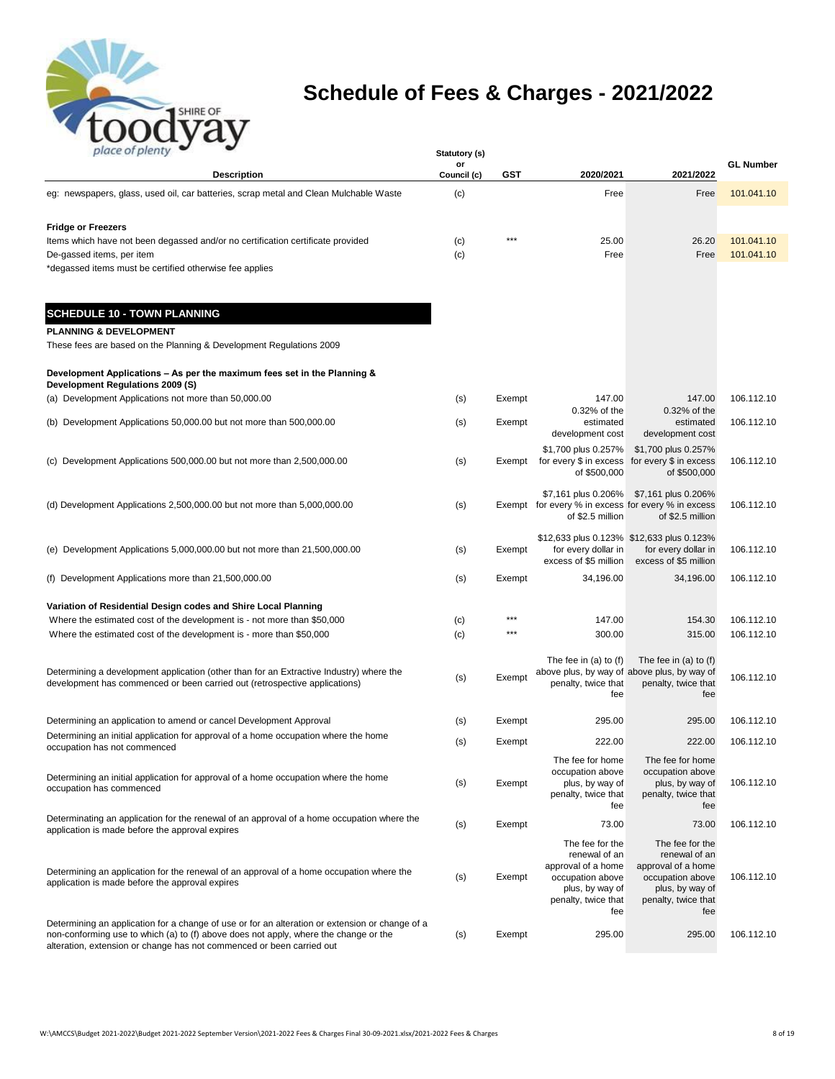

| place of plenty                                                                                                                                               | Statutory (s)     |        |                                                                        |                                                                          |                  |
|---------------------------------------------------------------------------------------------------------------------------------------------------------------|-------------------|--------|------------------------------------------------------------------------|--------------------------------------------------------------------------|------------------|
| <b>Description</b>                                                                                                                                            | or<br>Council (c) | GST    | 2020/2021                                                              | 2021/2022                                                                | <b>GL Number</b> |
| eg: newspapers, glass, used oil, car batteries, scrap metal and Clean Mulchable Waste                                                                         | (c)               |        | Free                                                                   | Free                                                                     | 101.041.10       |
|                                                                                                                                                               |                   |        |                                                                        |                                                                          |                  |
| <b>Fridge or Freezers</b>                                                                                                                                     |                   |        |                                                                        |                                                                          |                  |
| Items which have not been degassed and/or no certification certificate provided                                                                               | (c)               | ***    | 25.00                                                                  | 26.20                                                                    | 101.041.10       |
| De-gassed items, per item                                                                                                                                     | (c)               |        | Free                                                                   | Free                                                                     | 101.041.10       |
| *degassed items must be certified otherwise fee applies                                                                                                       |                   |        |                                                                        |                                                                          |                  |
|                                                                                                                                                               |                   |        |                                                                        |                                                                          |                  |
| <b>SCHEDULE 10 - TOWN PLANNING</b>                                                                                                                            |                   |        |                                                                        |                                                                          |                  |
| PLANNING & DEVELOPMENT                                                                                                                                        |                   |        |                                                                        |                                                                          |                  |
| These fees are based on the Planning & Development Regulations 2009                                                                                           |                   |        |                                                                        |                                                                          |                  |
| Development Applications - As per the maximum fees set in the Planning &<br>Development Regulations 2009 (S)                                                  |                   |        |                                                                        |                                                                          |                  |
| (a) Development Applications not more than 50,000.00                                                                                                          | (s)               | Exempt | 147.00                                                                 | 147.00                                                                   | 106.112.10       |
|                                                                                                                                                               |                   |        | 0.32% of the                                                           | 0.32% of the                                                             |                  |
| (b) Development Applications 50,000.00 but not more than 500,000.00                                                                                           | (s)               | Exempt | estimated<br>development cost                                          | estimated<br>development cost                                            | 106.112.10       |
|                                                                                                                                                               |                   |        | \$1,700 plus 0.257%                                                    | \$1,700 plus 0.257%                                                      |                  |
| (c) Development Applications 500,000.00 but not more than 2,500,000.00                                                                                        | (s)               | Exempt | for every \$ in excess<br>of \$500,000                                 | for every \$ in excess<br>of \$500,000                                   | 106.112.10       |
|                                                                                                                                                               |                   |        | \$7,161 plus 0.206%                                                    | \$7,161 plus 0.206%                                                      |                  |
| (d) Development Applications 2,500,000.00 but not more than 5,000,000.00                                                                                      | (s)               |        | Exempt for every % in excess for every % in excess<br>of \$2.5 million | of \$2.5 million                                                         | 106.112.10       |
|                                                                                                                                                               |                   |        |                                                                        | \$12,633 plus 0.123% \$12,633 plus 0.123%                                |                  |
| (e) Development Applications 5,000,000.00 but not more than 21,500,000.00                                                                                     | (s)               | Exempt | for every dollar in<br>excess of \$5 million                           | for every dollar in<br>excess of \$5 million                             | 106.112.10       |
| (f) Development Applications more than 21,500,000.00                                                                                                          | (s)               | Exempt | 34,196.00                                                              | 34,196.00                                                                | 106.112.10       |
| Variation of Residential Design codes and Shire Local Planning                                                                                                |                   |        |                                                                        |                                                                          |                  |
| Where the estimated cost of the development is - not more than \$50,000                                                                                       | (c)               | ***    | 147.00                                                                 | 154.30                                                                   | 106.112.10       |
| Where the estimated cost of the development is - more than \$50,000                                                                                           | (c)               | ***    | 300.00                                                                 | 315.00                                                                   | 106.112.10       |
| Determining a development application (other than for an Extractive Industry) where the                                                                       |                   |        | The fee in $(a)$ to $(f)$                                              | The fee in $(a)$ to $(f)$<br>above plus, by way of above plus, by way of |                  |
| development has commenced or been carried out (retrospective applications)                                                                                    | (s)               | Exempt | penalty, twice that<br>fee                                             | penalty, twice that<br>fee                                               | 106.112.10       |
|                                                                                                                                                               |                   |        |                                                                        |                                                                          |                  |
| Determining an application to amend or cancel Development Approval                                                                                            | (s)               | Exempt | 295.00                                                                 | 295.00                                                                   | 106.112.10       |
| Determining an initial application for approval of a home occupation where the home<br>occupation has not commenced                                           | (s)               | Exempt | 222.00                                                                 | 222.00                                                                   | 106.112.10       |
|                                                                                                                                                               |                   |        | The fee for home                                                       | The fee for home                                                         |                  |
| Determining an initial application for approval of a home occupation where the home                                                                           |                   |        | occupation above                                                       | occupation above                                                         |                  |
| occupation has commenced                                                                                                                                      | (s)               | Exempt | plus, by way of<br>penalty, twice that                                 | plus, by way of<br>penalty, twice that                                   | 106.112.10       |
|                                                                                                                                                               |                   |        | fee                                                                    | fee                                                                      |                  |
| Determinating an application for the renewal of an approval of a home occupation where the                                                                    | (s)               | Exempt | 73.00                                                                  | 73.00                                                                    | 106.112.10       |
| application is made before the approval expires                                                                                                               |                   |        | The fee for the                                                        | The fee for the                                                          |                  |
|                                                                                                                                                               |                   |        | renewal of an                                                          | renewal of an                                                            |                  |
|                                                                                                                                                               |                   |        | approval of a home                                                     | approval of a home                                                       |                  |
| Determining an application for the renewal of an approval of a home occupation where the<br>application is made before the approval expires                   | (s)               | Exempt | occupation above                                                       | occupation above                                                         | 106.112.10       |
|                                                                                                                                                               |                   |        | plus, by way of                                                        | plus, by way of                                                          |                  |
|                                                                                                                                                               |                   |        | penalty, twice that<br>fee                                             | penalty, twice that<br>fee                                               |                  |
| Determining an application for a change of use or for an alteration or extension or change of a                                                               |                   |        |                                                                        |                                                                          |                  |
| non-conforming use to which (a) to (f) above does not apply, where the change or the<br>alteration, extension or change has not commenced or been carried out | (s)               | Exempt | 295.00                                                                 | 295.00                                                                   | 106.112.10       |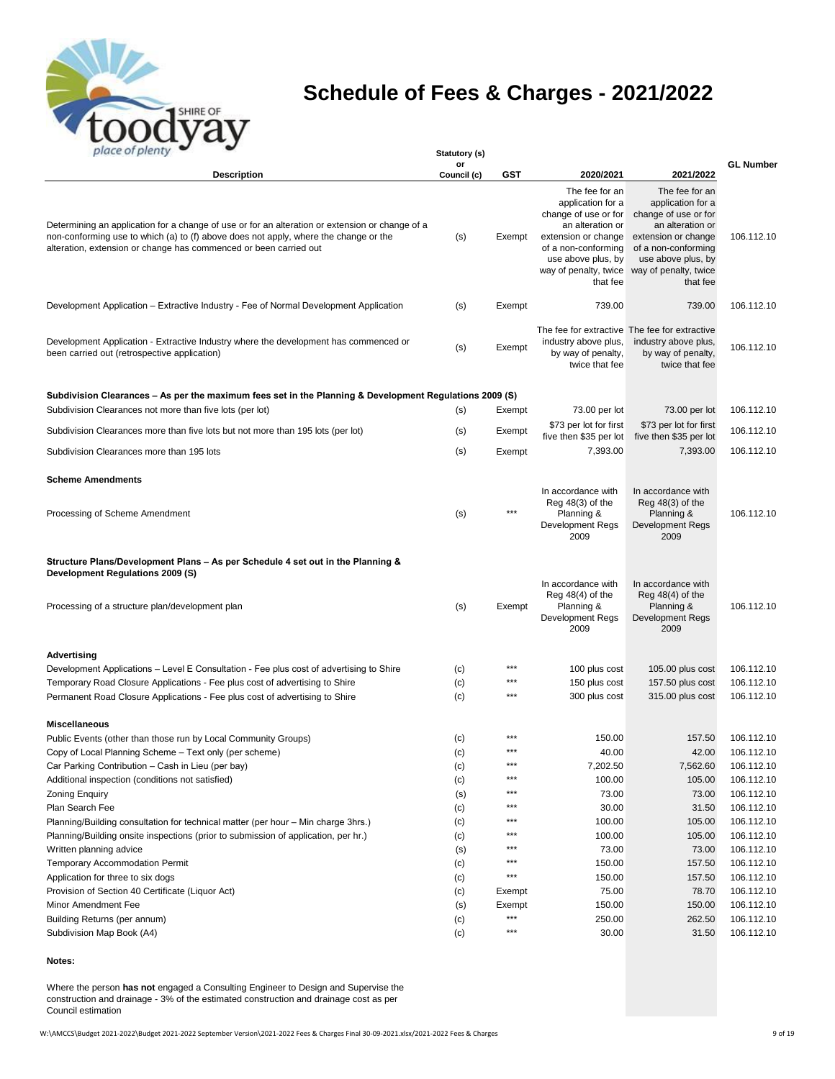

| place of plenty                                                                                                                                                                                                                                              | Statutory (s)     |              |                                                                                                                                                                                          |                                                                                                                                                                                          |                          |
|--------------------------------------------------------------------------------------------------------------------------------------------------------------------------------------------------------------------------------------------------------------|-------------------|--------------|------------------------------------------------------------------------------------------------------------------------------------------------------------------------------------------|------------------------------------------------------------------------------------------------------------------------------------------------------------------------------------------|--------------------------|
| <b>Description</b>                                                                                                                                                                                                                                           | or<br>Council (c) | GST          | 2020/2021                                                                                                                                                                                | 2021/2022                                                                                                                                                                                | <b>GL Number</b>         |
| Determining an application for a change of use or for an alteration or extension or change of a<br>non-conforming use to which (a) to (f) above does not apply, where the change or the<br>alteration, extension or change has commenced or been carried out | (s)               | Exempt       | The fee for an<br>application for a<br>change of use or for<br>an alteration or<br>extension or change<br>of a non-conforming<br>use above plus, by<br>way of penalty, twice<br>that fee | The fee for an<br>application for a<br>change of use or for<br>an alteration or<br>extension or change<br>of a non-conforming<br>use above plus, by<br>way of penalty, twice<br>that fee | 106.112.10               |
| Development Application – Extractive Industry - Fee of Normal Development Application                                                                                                                                                                        | (s)               | Exempt       | 739.00                                                                                                                                                                                   | 739.00                                                                                                                                                                                   | 106.112.10               |
| Development Application - Extractive Industry where the development has commenced or<br>been carried out (retrospective application)                                                                                                                         | (s)               | Exempt       | industry above plus,<br>by way of penalty,<br>twice that fee                                                                                                                             | The fee for extractive The fee for extractive<br>industry above plus,<br>by way of penalty,<br>twice that fee                                                                            | 106.112.10               |
| Subdivision Clearances – As per the maximum fees set in the Planning & Development Regulations 2009 (S)                                                                                                                                                      |                   |              |                                                                                                                                                                                          |                                                                                                                                                                                          |                          |
| Subdivision Clearances not more than five lots (per lot)                                                                                                                                                                                                     | (s)               | Exempt       | 73.00 per lot                                                                                                                                                                            | 73.00 per lot                                                                                                                                                                            | 106.112.10               |
| Subdivision Clearances more than five lots but not more than 195 lots (per lot)                                                                                                                                                                              | (s)               | Exempt       | \$73 per lot for first<br>five then \$35 per lot                                                                                                                                         | \$73 per lot for first<br>five then \$35 per lot                                                                                                                                         | 106.112.10               |
| Subdivision Clearances more than 195 lots                                                                                                                                                                                                                    | (s)               | Exempt       | 7,393.00                                                                                                                                                                                 | 7,393.00                                                                                                                                                                                 | 106.112.10               |
| <b>Scheme Amendments</b>                                                                                                                                                                                                                                     |                   |              |                                                                                                                                                                                          |                                                                                                                                                                                          |                          |
| Processing of Scheme Amendment                                                                                                                                                                                                                               | (s)               | $***$        | In accordance with<br>$Reg 48(3)$ of the<br>Planning &<br>Development Regs<br>2009                                                                                                       | In accordance with<br>$Reg 48(3)$ of the<br>Planning &<br><b>Development Regs</b><br>2009                                                                                                | 106.112.10               |
| Structure Plans/Development Plans - As per Schedule 4 set out in the Planning &<br>Development Regulations 2009 (S)<br>Processing of a structure plan/development plan                                                                                       | (s)               | Exempt       | In accordance with<br>$Reg 48(4)$ of the<br>Planning &<br><b>Development Regs</b><br>2009                                                                                                | In accordance with<br>$Reg 48(4)$ of the<br>Planning &<br>Development Regs<br>2009                                                                                                       | 106.112.10               |
| Advertising                                                                                                                                                                                                                                                  |                   |              |                                                                                                                                                                                          |                                                                                                                                                                                          |                          |
| Development Applications – Level E Consultation - Fee plus cost of advertising to Shire                                                                                                                                                                      | (c)               | ***<br>$***$ | 100 plus cost                                                                                                                                                                            | 105.00 plus cost                                                                                                                                                                         | 106.112.10               |
| Temporary Road Closure Applications - Fee plus cost of advertising to Shire<br>Permanent Road Closure Applications - Fee plus cost of advertising to Shire                                                                                                   | (c)<br>(c)        | ***          | 150 plus cost<br>300 plus cost                                                                                                                                                           | 157.50 plus cost<br>315.00 plus cost                                                                                                                                                     | 106.112.10<br>106.112.10 |
| <b>Miscellaneous</b>                                                                                                                                                                                                                                         |                   |              |                                                                                                                                                                                          |                                                                                                                                                                                          |                          |
| Public Events (other than those run by Local Community Groups)                                                                                                                                                                                               | (c)               | ***          | 150.00                                                                                                                                                                                   | 157.50                                                                                                                                                                                   | 106.112.10               |
| Copy of Local Planning Scheme - Text only (per scheme)                                                                                                                                                                                                       | (c)               | $***$        | 40.00                                                                                                                                                                                    | 42.00                                                                                                                                                                                    | 106.112.10               |
| Car Parking Contribution - Cash in Lieu (per bay)                                                                                                                                                                                                            | (c)               | ***          | 7,202.50                                                                                                                                                                                 | 7,562.60                                                                                                                                                                                 | 106.112.10               |
| Additional inspection (conditions not satisfied)                                                                                                                                                                                                             | (c)               | ***          | 100.00                                                                                                                                                                                   | 105.00                                                                                                                                                                                   | 106.112.10               |
| <b>Zoning Enquiry</b>                                                                                                                                                                                                                                        | (s)               | ***          | 73.00                                                                                                                                                                                    | 73.00                                                                                                                                                                                    | 106.112.10               |
| Plan Search Fee                                                                                                                                                                                                                                              | (c)               | ***<br>***   | 30.00                                                                                                                                                                                    | 31.50                                                                                                                                                                                    | 106.112.10               |
| Planning/Building consultation for technical matter (per hour - Min charge 3hrs.)                                                                                                                                                                            | (c)               | ***          | 100.00                                                                                                                                                                                   | 105.00                                                                                                                                                                                   | 106.112.10               |
| Planning/Building onsite inspections (prior to submission of application, per hr.)                                                                                                                                                                           | (c)               | ***          | 100.00                                                                                                                                                                                   | 105.00                                                                                                                                                                                   | 106.112.10               |
| Written planning advice                                                                                                                                                                                                                                      | (s)               | ***          | 73.00                                                                                                                                                                                    | 73.00                                                                                                                                                                                    | 106.112.10               |
| <b>Temporary Accommodation Permit</b><br>Application for three to six dogs                                                                                                                                                                                   | (c)<br>(c)        | $***$        | 150.00<br>150.00                                                                                                                                                                         | 157.50<br>157.50                                                                                                                                                                         | 106.112.10<br>106.112.10 |
| Provision of Section 40 Certificate (Liquor Act)                                                                                                                                                                                                             | (c)               | Exempt       | 75.00                                                                                                                                                                                    | 78.70                                                                                                                                                                                    | 106.112.10               |
| Minor Amendment Fee                                                                                                                                                                                                                                          | (s)               | Exempt       | 150.00                                                                                                                                                                                   | 150.00                                                                                                                                                                                   | 106.112.10               |
| Building Returns (per annum)                                                                                                                                                                                                                                 | (c)               | $***$        | 250.00                                                                                                                                                                                   | 262.50                                                                                                                                                                                   | 106.112.10               |
| Subdivision Map Book (A4)                                                                                                                                                                                                                                    | (c)               | $***$        | 30.00                                                                                                                                                                                    | 31.50                                                                                                                                                                                    | 106.112.10               |

#### **Notes:**

Where the person **has not** engaged a Consulting Engineer to Design and Supervise the construction and drainage - 3% of the estimated construction and drainage cost as per Council estimation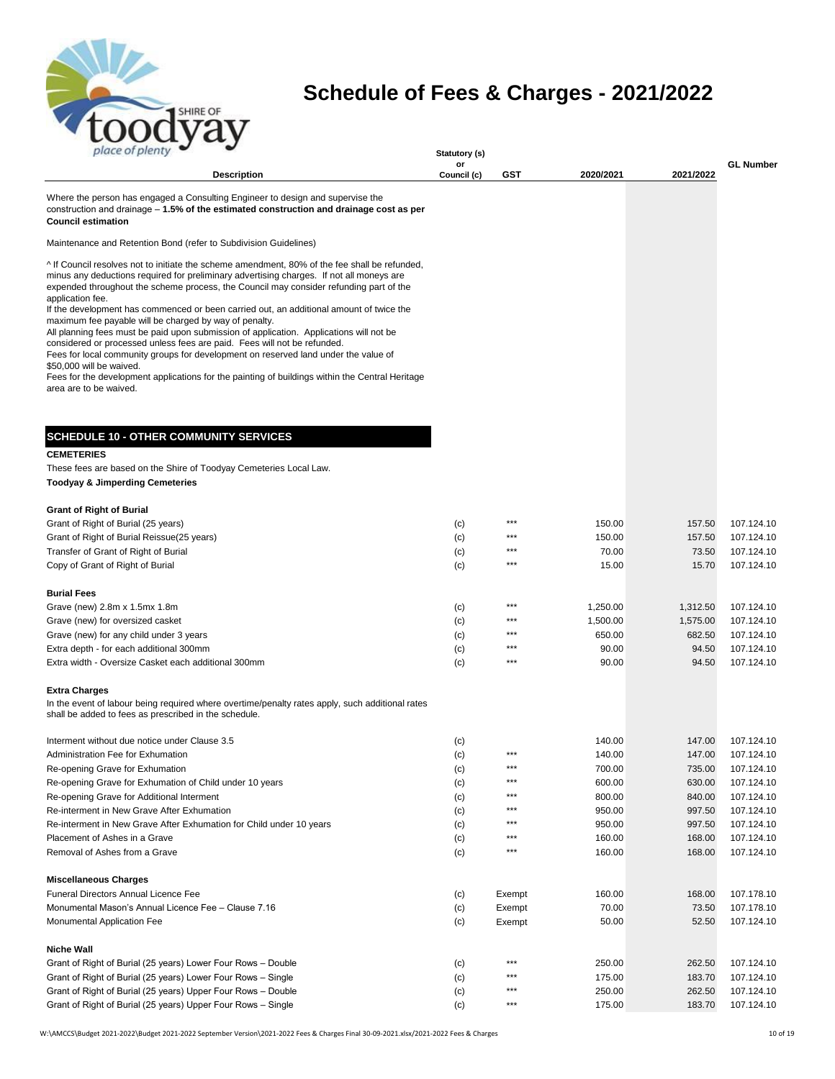

| place of plenty                                                                                                                                                                                                                                                                                                                                                                                                                                                                                                                                                                                                                                                                                                                                                                                                                                                                     | Statutory (s)     |                |                  |                  |                          |
|-------------------------------------------------------------------------------------------------------------------------------------------------------------------------------------------------------------------------------------------------------------------------------------------------------------------------------------------------------------------------------------------------------------------------------------------------------------------------------------------------------------------------------------------------------------------------------------------------------------------------------------------------------------------------------------------------------------------------------------------------------------------------------------------------------------------------------------------------------------------------------------|-------------------|----------------|------------------|------------------|--------------------------|
| <b>Description</b>                                                                                                                                                                                                                                                                                                                                                                                                                                                                                                                                                                                                                                                                                                                                                                                                                                                                  | or<br>Council (c) | <b>GST</b>     | 2020/2021        | 2021/2022        | <b>GL Number</b>         |
| Where the person has engaged a Consulting Engineer to design and supervise the<br>construction and drainage – 1.5% of the estimated construction and drainage cost as per<br><b>Council estimation</b>                                                                                                                                                                                                                                                                                                                                                                                                                                                                                                                                                                                                                                                                              |                   |                |                  |                  |                          |
| Maintenance and Retention Bond (refer to Subdivision Guidelines)                                                                                                                                                                                                                                                                                                                                                                                                                                                                                                                                                                                                                                                                                                                                                                                                                    |                   |                |                  |                  |                          |
| A If Council resolves not to initiate the scheme amendment, 80% of the fee shall be refunded,<br>minus any deductions required for preliminary advertising charges. If not all moneys are<br>expended throughout the scheme process, the Council may consider refunding part of the<br>application fee.<br>If the development has commenced or been carried out, an additional amount of twice the<br>maximum fee payable will be charged by way of penalty.<br>All planning fees must be paid upon submission of application. Applications will not be<br>considered or processed unless fees are paid. Fees will not be refunded.<br>Fees for local community groups for development on reserved land under the value of<br>\$50,000 will be waived.<br>Fees for the development applications for the painting of buildings within the Central Heritage<br>area are to be waived. |                   |                |                  |                  |                          |
| <b>SCHEDULE 10 - OTHER COMMUNITY SERVICES</b>                                                                                                                                                                                                                                                                                                                                                                                                                                                                                                                                                                                                                                                                                                                                                                                                                                       |                   |                |                  |                  |                          |
| <b>CEMETERIES</b>                                                                                                                                                                                                                                                                                                                                                                                                                                                                                                                                                                                                                                                                                                                                                                                                                                                                   |                   |                |                  |                  |                          |
| These fees are based on the Shire of Toodyay Cemeteries Local Law.                                                                                                                                                                                                                                                                                                                                                                                                                                                                                                                                                                                                                                                                                                                                                                                                                  |                   |                |                  |                  |                          |
| <b>Toodyay &amp; Jimperding Cemeteries</b>                                                                                                                                                                                                                                                                                                                                                                                                                                                                                                                                                                                                                                                                                                                                                                                                                                          |                   |                |                  |                  |                          |
| <b>Grant of Right of Burial</b>                                                                                                                                                                                                                                                                                                                                                                                                                                                                                                                                                                                                                                                                                                                                                                                                                                                     |                   |                |                  |                  |                          |
| Grant of Right of Burial (25 years)<br>Grant of Right of Burial Reissue(25 years)                                                                                                                                                                                                                                                                                                                                                                                                                                                                                                                                                                                                                                                                                                                                                                                                   | (c)               | ***<br>***     | 150.00<br>150.00 | 157.50<br>157.50 | 107.124.10<br>107.124.10 |
| Transfer of Grant of Right of Burial                                                                                                                                                                                                                                                                                                                                                                                                                                                                                                                                                                                                                                                                                                                                                                                                                                                | (c)<br>(c)        | $***$          | 70.00            | 73.50            | 107.124.10               |
| Copy of Grant of Right of Burial                                                                                                                                                                                                                                                                                                                                                                                                                                                                                                                                                                                                                                                                                                                                                                                                                                                    | (c)               | ***            | 15.00            | 15.70            | 107.124.10               |
| <b>Burial Fees</b>                                                                                                                                                                                                                                                                                                                                                                                                                                                                                                                                                                                                                                                                                                                                                                                                                                                                  |                   |                |                  |                  |                          |
| Grave (new) 2.8m x 1.5mx 1.8m                                                                                                                                                                                                                                                                                                                                                                                                                                                                                                                                                                                                                                                                                                                                                                                                                                                       | (c)               | $***$          | 1,250.00         | 1,312.50         | 107.124.10               |
| Grave (new) for oversized casket                                                                                                                                                                                                                                                                                                                                                                                                                                                                                                                                                                                                                                                                                                                                                                                                                                                    | (c)               | ***            | 1,500.00         | 1,575.00         | 107.124.10               |
| Grave (new) for any child under 3 years                                                                                                                                                                                                                                                                                                                                                                                                                                                                                                                                                                                                                                                                                                                                                                                                                                             | (c)               | ***<br>$***$   | 650.00           | 682.50           | 107.124.10               |
| Extra depth - for each additional 300mm<br>Extra width - Oversize Casket each additional 300mm                                                                                                                                                                                                                                                                                                                                                                                                                                                                                                                                                                                                                                                                                                                                                                                      | (c)<br>(c)        | ***            | 90.00<br>90.00   | 94.50<br>94.50   | 107.124.10<br>107.124.10 |
|                                                                                                                                                                                                                                                                                                                                                                                                                                                                                                                                                                                                                                                                                                                                                                                                                                                                                     |                   |                |                  |                  |                          |
| <b>Extra Charges</b><br>In the event of labour being required where overtime/penalty rates apply, such additional rates<br>shall be added to fees as prescribed in the schedule.                                                                                                                                                                                                                                                                                                                                                                                                                                                                                                                                                                                                                                                                                                    |                   |                |                  |                  |                          |
| Interment without due notice under Clause 3.5                                                                                                                                                                                                                                                                                                                                                                                                                                                                                                                                                                                                                                                                                                                                                                                                                                       | $\left( c\right)$ |                | 140.00           | 147.00           | 107.124.10               |
| Administration Fee for Exhumation                                                                                                                                                                                                                                                                                                                                                                                                                                                                                                                                                                                                                                                                                                                                                                                                                                                   | (c)               |                | 140.00           | 147.00           | 107.124.10               |
| Re-opening Grave for Exhumation                                                                                                                                                                                                                                                                                                                                                                                                                                                                                                                                                                                                                                                                                                                                                                                                                                                     | (c)               | $***$<br>$***$ | 700.00           | 735.00           | 107.124.10               |
| Re-opening Grave for Exhumation of Child under 10 years<br>Re-opening Grave for Additional Interment                                                                                                                                                                                                                                                                                                                                                                                                                                                                                                                                                                                                                                                                                                                                                                                | (c)<br>(c)        | $***$          | 600.00<br>800.00 | 630.00<br>840.00 | 107.124.10<br>107.124.10 |
| Re-interment in New Grave After Exhumation                                                                                                                                                                                                                                                                                                                                                                                                                                                                                                                                                                                                                                                                                                                                                                                                                                          | (c)               | $***$          | 950.00           | 997.50           | 107.124.10               |
| Re-interment in New Grave After Exhumation for Child under 10 years                                                                                                                                                                                                                                                                                                                                                                                                                                                                                                                                                                                                                                                                                                                                                                                                                 | (c)               | ***            | 950.00           | 997.50           | 107.124.10               |
| Placement of Ashes in a Grave                                                                                                                                                                                                                                                                                                                                                                                                                                                                                                                                                                                                                                                                                                                                                                                                                                                       | (c)               | $***$          | 160.00           | 168.00           | 107.124.10               |
| Removal of Ashes from a Grave                                                                                                                                                                                                                                                                                                                                                                                                                                                                                                                                                                                                                                                                                                                                                                                                                                                       | (c)               | $***$          | 160.00           | 168.00           | 107.124.10               |
| <b>Miscellaneous Charges</b>                                                                                                                                                                                                                                                                                                                                                                                                                                                                                                                                                                                                                                                                                                                                                                                                                                                        |                   |                |                  |                  |                          |
| Funeral Directors Annual Licence Fee                                                                                                                                                                                                                                                                                                                                                                                                                                                                                                                                                                                                                                                                                                                                                                                                                                                | (c)               | Exempt         | 160.00           | 168.00           | 107.178.10               |
| Monumental Mason's Annual Licence Fee - Clause 7.16                                                                                                                                                                                                                                                                                                                                                                                                                                                                                                                                                                                                                                                                                                                                                                                                                                 | (c)               | Exempt         | 70.00            | 73.50            | 107.178.10               |
| Monumental Application Fee                                                                                                                                                                                                                                                                                                                                                                                                                                                                                                                                                                                                                                                                                                                                                                                                                                                          | (c)               | Exempt         | 50.00            | 52.50            | 107.124.10               |
| <b>Niche Wall</b>                                                                                                                                                                                                                                                                                                                                                                                                                                                                                                                                                                                                                                                                                                                                                                                                                                                                   |                   | $***$          |                  |                  |                          |
| Grant of Right of Burial (25 years) Lower Four Rows - Double<br>Grant of Right of Burial (25 years) Lower Four Rows - Single                                                                                                                                                                                                                                                                                                                                                                                                                                                                                                                                                                                                                                                                                                                                                        | (c)<br>(c)        | ***            | 250.00<br>175.00 | 262.50<br>183.70 | 107.124.10<br>107.124.10 |
| Grant of Right of Burial (25 years) Upper Four Rows - Double                                                                                                                                                                                                                                                                                                                                                                                                                                                                                                                                                                                                                                                                                                                                                                                                                        | (c)               | $***$          | 250.00           | 262.50           | 107.124.10               |
| Grant of Right of Burial (25 years) Upper Four Rows - Single                                                                                                                                                                                                                                                                                                                                                                                                                                                                                                                                                                                                                                                                                                                                                                                                                        | (c)               | ***            | 175.00           | 183.70           | 107.124.10               |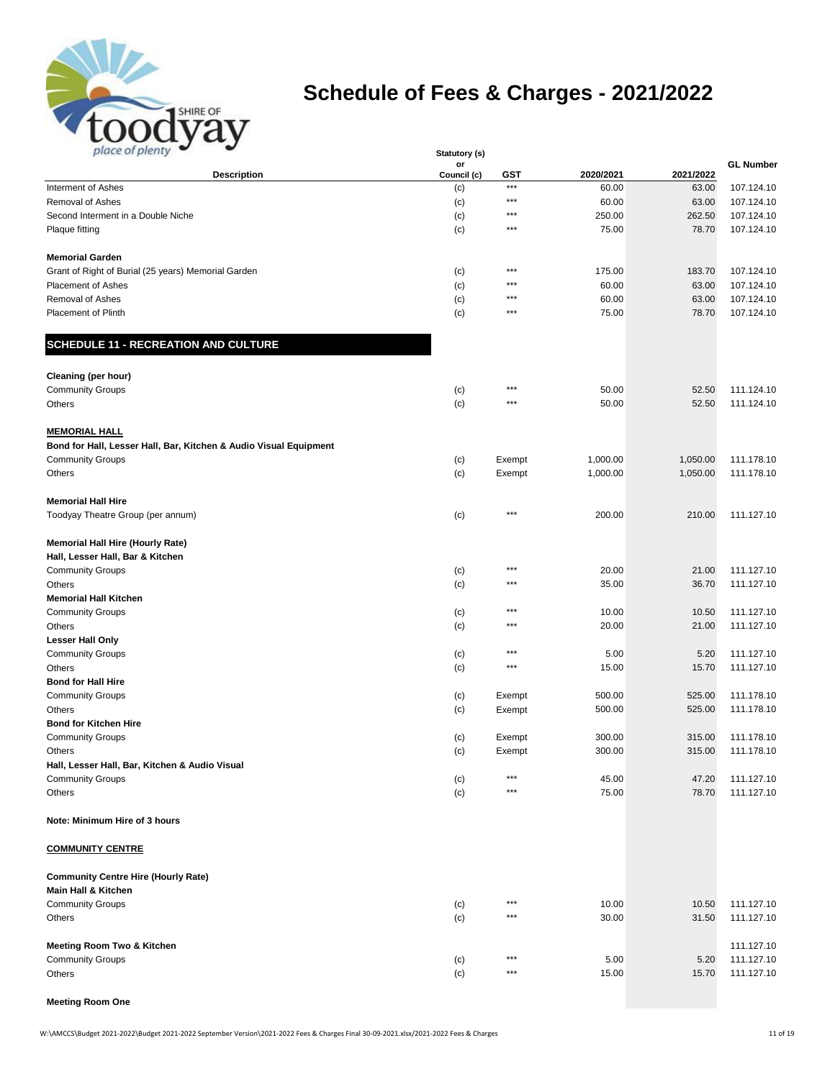

| place of plenty                                                   | Statutory (s)     |            |           |           |                  |
|-------------------------------------------------------------------|-------------------|------------|-----------|-----------|------------------|
| <b>Description</b>                                                | or<br>Council (c) | <b>GST</b> | 2020/2021 | 2021/2022 | <b>GL Number</b> |
| Interment of Ashes                                                | (c)               | $***$      | 60.00     | 63.00     | 107.124.10       |
| <b>Removal of Ashes</b>                                           | (c)               | $***$      | 60.00     | 63.00     | 107.124.10       |
| Second Interment in a Double Niche                                | (c)               | $***$      | 250.00    | 262.50    | 107.124.10       |
| Plaque fitting                                                    | (c)               | ***        | 75.00     | 78.70     | 107.124.10       |
|                                                                   |                   |            |           |           |                  |
| <b>Memorial Garden</b>                                            |                   |            |           |           |                  |
| Grant of Right of Burial (25 years) Memorial Garden               | (c)               | $***$      | 175.00    | 183.70    | 107.124.10       |
| <b>Placement of Ashes</b>                                         | (c)               | $***$      | 60.00     | 63.00     | 107.124.10       |
| <b>Removal of Ashes</b>                                           | (c)               | $***$      | 60.00     | 63.00     | 107.124.10       |
| <b>Placement of Plinth</b>                                        | (c)               | ***        | 75.00     | 78.70     | 107.124.10       |
| <b>SCHEDULE 11 - RECREATION AND CULTURE</b>                       |                   |            |           |           |                  |
|                                                                   |                   |            |           |           |                  |
| Cleaning (per hour)<br><b>Community Groups</b>                    | (c)               | $***$      | 50.00     | 52.50     | 111.124.10       |
| Others                                                            |                   | $***$      | 50.00     | 52.50     | 111.124.10       |
|                                                                   | (c)               |            |           |           |                  |
| <b>MEMORIAL HALL</b>                                              |                   |            |           |           |                  |
| Bond for Hall, Lesser Hall, Bar, Kitchen & Audio Visual Equipment |                   |            |           |           |                  |
| <b>Community Groups</b>                                           | (c)               | Exempt     | 1,000.00  | 1,050.00  | 111.178.10       |
| Others                                                            | (c)               | Exempt     | 1,000.00  | 1,050.00  | 111.178.10       |
| <b>Memorial Hall Hire</b>                                         |                   |            |           |           |                  |
| Toodyay Theatre Group (per annum)                                 | (c)               | ***        | 200.00    | 210.00    | 111.127.10       |
|                                                                   |                   |            |           |           |                  |
| <b>Memorial Hall Hire (Hourly Rate)</b>                           |                   |            |           |           |                  |
| Hall, Lesser Hall, Bar & Kitchen                                  |                   |            |           |           |                  |
| <b>Community Groups</b>                                           | (c)               | ***        | 20.00     | 21.00     | 111.127.10       |
| Others                                                            | (c)               | ***        | 35.00     | 36.70     | 111.127.10       |
| <b>Memorial Hall Kitchen</b>                                      |                   |            |           |           |                  |
| <b>Community Groups</b>                                           | (c)               | ***        | 10.00     | 10.50     | 111.127.10       |
| Others                                                            | (c)               | ***        | 20.00     | 21.00     | 111.127.10       |
| <b>Lesser Hall Only</b>                                           |                   |            |           |           |                  |
| <b>Community Groups</b>                                           | (c)               | ***        | 5.00      | 5.20      | 111.127.10       |
| Others                                                            | (c)               | $***$      | 15.00     | 15.70     | 111.127.10       |
| <b>Bond for Hall Hire</b>                                         |                   |            |           |           |                  |
| <b>Community Groups</b>                                           | (c)               | Exempt     | 500.00    | 525.00    | 111.178.10       |
| Others                                                            | (c)               | Exempt     | 500.00    | 525.00    | 111.178.10       |
| <b>Bond for Kitchen Hire</b>                                      |                   |            |           |           |                  |
| <b>Community Groups</b>                                           | (c)               | Exempt     | 300.00    | 315.00    | 111.178.10       |
| Others                                                            | (c)               | Exempt     | 300.00    | 315.00    | 111.178.10       |
| Hall, Lesser Hall, Bar, Kitchen & Audio Visual                    |                   |            |           |           |                  |
| <b>Community Groups</b>                                           | (c)               | ***        | 45.00     | 47.20     | 111.127.10       |
| Others                                                            | (c)               | ***        | 75.00     | 78.70     | 111.127.10       |
| Note: Minimum Hire of 3 hours                                     |                   |            |           |           |                  |
| <b>COMMUNITY CENTRE</b>                                           |                   |            |           |           |                  |
| <b>Community Centre Hire (Hourly Rate)</b>                        |                   |            |           |           |                  |
| Main Hall & Kitchen                                               |                   |            |           |           |                  |
| <b>Community Groups</b>                                           | (c)               | ***        | 10.00     | 10.50     | 111.127.10       |
| Others                                                            | (c)               | ***        | 30.00     | 31.50     | 111.127.10       |
|                                                                   |                   |            |           |           |                  |
| <b>Meeting Room Two &amp; Kitchen</b>                             |                   |            |           |           | 111.127.10       |
| <b>Community Groups</b>                                           | (c)               | $***$      | 5.00      | 5.20      | 111.127.10       |
| Others                                                            | (c)               | ***        | 15.00     | 15.70     | 111.127.10       |

**Meeting Room One**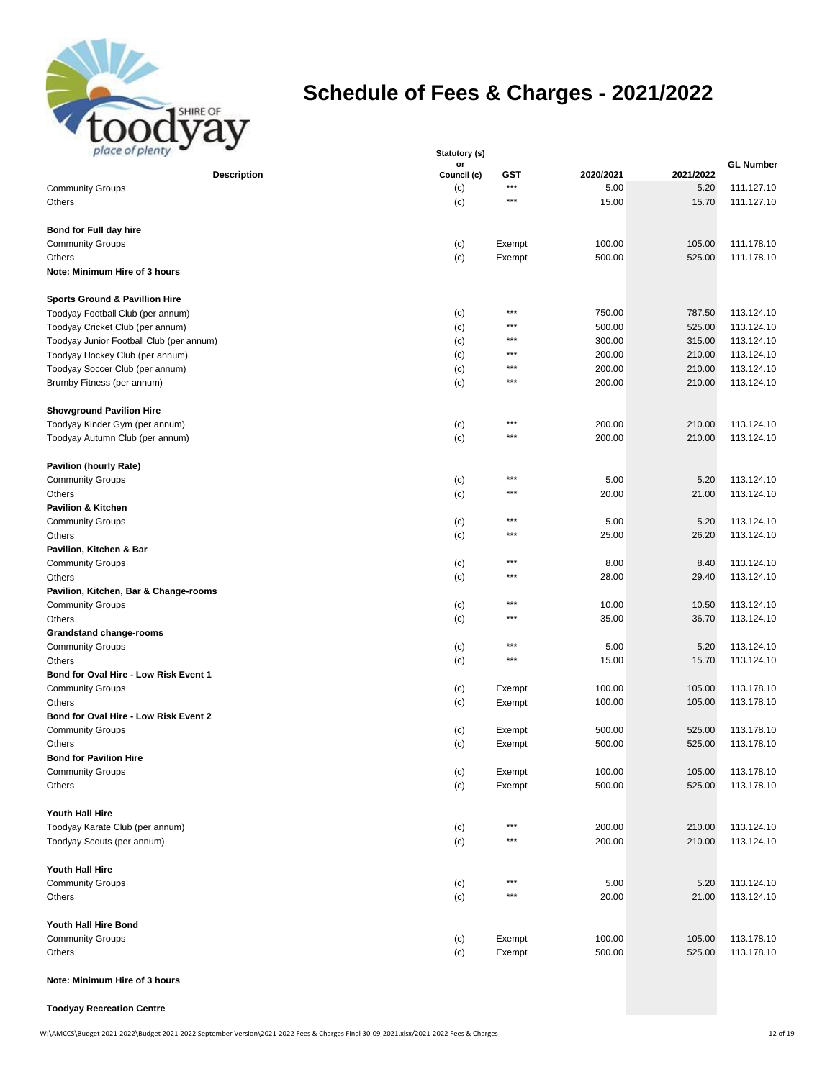

| place of plenty                           | Statutory (s)     |                |           |           |                  |
|-------------------------------------------|-------------------|----------------|-----------|-----------|------------------|
| Description                               | or<br>Council (c) | GST            | 2020/2021 | 2021/2022 | <b>GL Number</b> |
| <b>Community Groups</b>                   | (c)               | $***$          | 5.00      | 5.20      | 111.127.10       |
| Others                                    | (c)               | $***$          | 15.00     | 15.70     | 111.127.10       |
|                                           |                   |                |           |           |                  |
| Bond for Full day hire                    |                   |                |           |           |                  |
| <b>Community Groups</b>                   | (c)               | Exempt         | 100.00    | 105.00    | 111.178.10       |
| Others                                    | (c)               | Exempt         | 500.00    | 525.00    | 111.178.10       |
| Note: Minimum Hire of 3 hours             |                   |                |           |           |                  |
|                                           |                   |                |           |           |                  |
| <b>Sports Ground &amp; Pavillion Hire</b> |                   |                |           |           |                  |
| Toodyay Football Club (per annum)         | (c)               | $***$          | 750.00    | 787.50    | 113.124.10       |
| Toodyay Cricket Club (per annum)          | (c)               | $***$          | 500.00    | 525.00    | 113.124.10       |
| Toodyay Junior Football Club (per annum)  | (c)               | $***$          | 300.00    | 315.00    | 113.124.10       |
| Toodyay Hockey Club (per annum)           | (c)               | ***            | 200.00    | 210.00    | 113.124.10       |
| Toodyay Soccer Club (per annum)           | (c)               | $***$          | 200.00    | 210.00    | 113.124.10       |
| Brumby Fitness (per annum)                | (c)               | $***$          | 200.00    | 210.00    | 113.124.10       |
|                                           |                   |                |           |           |                  |
| <b>Showground Pavilion Hire</b>           |                   |                |           |           |                  |
| Toodyay Kinder Gym (per annum)            | (c)               | $***$          | 200.00    | 210.00    | 113.124.10       |
| Toodyay Autumn Club (per annum)           | (c)               | $***$          | 200.00    | 210.00    | 113.124.10       |
|                                           |                   |                |           |           |                  |
| <b>Pavilion (hourly Rate)</b>             |                   |                |           |           |                  |
| <b>Community Groups</b>                   | (c)               | $***$          | 5.00      | 5.20      | 113.124.10       |
| Others                                    | (c)               | ***            | 20.00     | 21.00     | 113.124.10       |
| <b>Pavilion &amp; Kitchen</b>             |                   |                |           |           |                  |
| <b>Community Groups</b>                   | (c)               | $***$          | 5.00      | 5.20      | 113.124.10       |
| Others                                    | (c)               | $***$          | 25.00     | 26.20     | 113.124.10       |
| Pavilion, Kitchen & Bar                   |                   |                |           |           |                  |
| <b>Community Groups</b>                   | (c)               | ***            | 8.00      | 8.40      | 113.124.10       |
| Others                                    | (c)               | ***            | 28.00     | 29.40     | 113.124.10       |
| Pavilion, Kitchen, Bar & Change-rooms     |                   |                |           |           |                  |
| <b>Community Groups</b>                   | (c)               | $***$          | 10.00     | 10.50     | 113.124.10       |
| Others                                    | (c)               | $***$          | 35.00     | 36.70     | 113.124.10       |
| <b>Grandstand change-rooms</b>            |                   |                |           |           |                  |
| <b>Community Groups</b>                   | (c)               | $***$          | 5.00      | 5.20      | 113.124.10       |
| Others                                    | (c)               | $***$          | 15.00     | 15.70     | 113.124.10       |
| Bond for Oval Hire - Low Risk Event 1     |                   |                |           |           |                  |
| <b>Community Groups</b>                   | (c)               | Exempt         | 100.00    | 105.00    | 113.178.10       |
| Others                                    | (c)               | Exempt         | 100.00    | 105.00    | 113.178.10       |
| Bond for Oval Hire - Low Risk Event 2     |                   |                |           |           |                  |
| <b>Community Groups</b>                   | (c)               | Exempt         | 500.00    | 525.00    | 113.178.10       |
| Others                                    | (c)               | Exempt         | 500.00    | 525.00    | 113.178.10       |
| <b>Bond for Pavilion Hire</b>             |                   |                |           |           |                  |
| <b>Community Groups</b>                   | (c)               | Exempt         | 100.00    | 105.00    | 113.178.10       |
| Others                                    | (c)               | Exempt         | 500.00    | 525.00    | 113.178.10       |
|                                           |                   |                |           |           |                  |
| Youth Hall Hire                           |                   |                |           |           |                  |
| Toodyay Karate Club (per annum)           | (c)               | $***$          | 200.00    | 210.00    | 113.124.10       |
| Toodyay Scouts (per annum)                | (c)               | $***$          | 200.00    | 210.00    | 113.124.10       |
|                                           |                   |                |           |           |                  |
| Youth Hall Hire                           |                   |                |           |           |                  |
| <b>Community Groups</b>                   | (c)               | $***$<br>$***$ | 5.00      | 5.20      | 113.124.10       |
| Others                                    | (c)               |                | 20.00     | 21.00     | 113.124.10       |
|                                           |                   |                |           |           |                  |
| Youth Hall Hire Bond                      |                   |                |           |           |                  |
| <b>Community Groups</b>                   | (c)               | Exempt         | 100.00    | 105.00    | 113.178.10       |
| Others                                    | (c)               | Exempt         | 500.00    | 525.00    | 113.178.10       |

#### **Note: Minimum Hire of 3 hours**

#### **Toodyay Recreation Centre**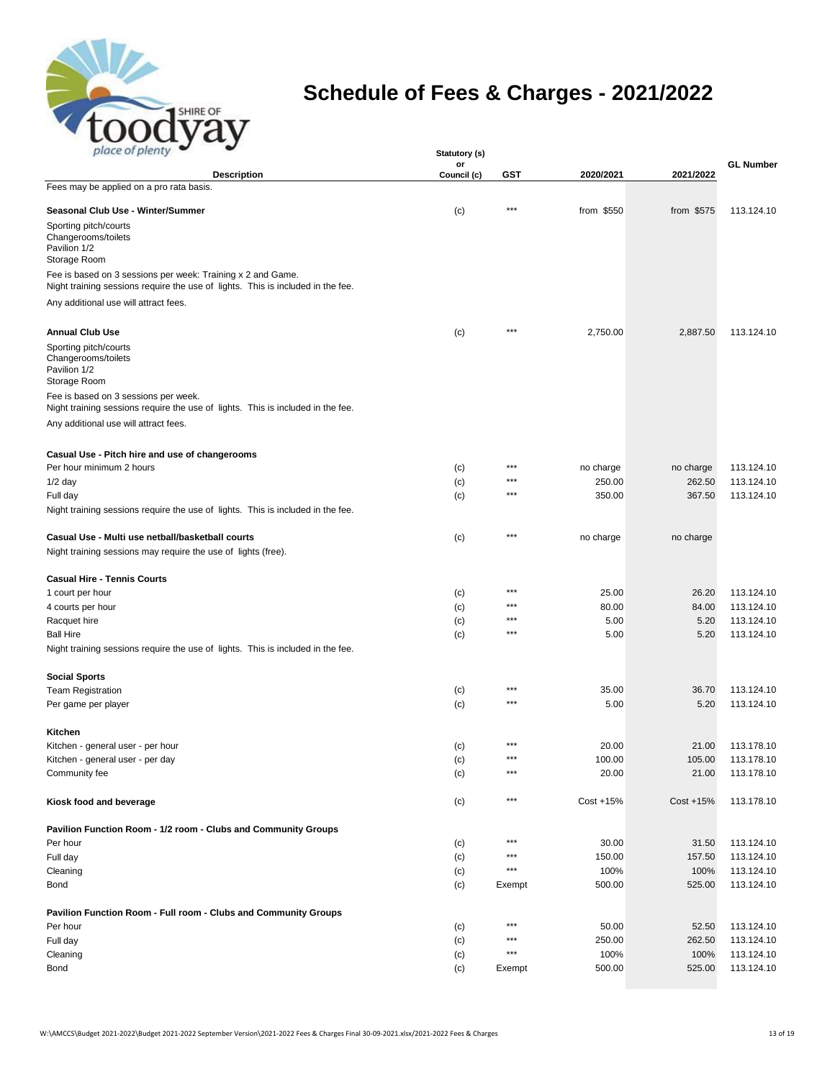

| place of plenty                                                                                                                                | Statutory (s)     |            |                 |                 |                          |
|------------------------------------------------------------------------------------------------------------------------------------------------|-------------------|------------|-----------------|-----------------|--------------------------|
| <b>Description</b>                                                                                                                             | or<br>Council (c) | GST        | 2020/2021       | 2021/2022       | <b>GL Number</b>         |
| Fees may be applied on a pro rata basis.                                                                                                       |                   |            |                 |                 |                          |
| Seasonal Club Use - Winter/Summer                                                                                                              | (c)               | ***        | from \$550      | from \$575      | 113.124.10               |
| Sporting pitch/courts<br>Changerooms/toilets<br>Pavilion 1/2                                                                                   |                   |            |                 |                 |                          |
| Storage Room                                                                                                                                   |                   |            |                 |                 |                          |
| Fee is based on 3 sessions per week: Training x 2 and Game.<br>Night training sessions require the use of lights. This is included in the fee. |                   |            |                 |                 |                          |
| Any additional use will attract fees.                                                                                                          |                   |            |                 |                 |                          |
| <b>Annual Club Use</b>                                                                                                                         | (c)               | $***$      | 2,750.00        | 2,887.50        | 113.124.10               |
| Sporting pitch/courts<br>Changerooms/toilets<br>Pavilion 1/2<br>Storage Room                                                                   |                   |            |                 |                 |                          |
| Fee is based on 3 sessions per week.<br>Night training sessions require the use of lights. This is included in the fee.                        |                   |            |                 |                 |                          |
| Any additional use will attract fees.                                                                                                          |                   |            |                 |                 |                          |
| Casual Use - Pitch hire and use of changerooms                                                                                                 |                   |            |                 |                 |                          |
| Per hour minimum 2 hours                                                                                                                       | (c)               | ***        | no charge       | no charge       | 113.124.10               |
| $1/2$ day                                                                                                                                      | (c)               | ***<br>*** | 250.00          | 262.50          | 113.124.10               |
| Full day                                                                                                                                       | (c)               |            | 350.00          | 367.50          | 113.124.10               |
| Night training sessions require the use of lights. This is included in the fee.                                                                |                   |            |                 |                 |                          |
| Casual Use - Multi use netball/basketball courts<br>Night training sessions may require the use of lights (free).                              | (c)               | $***$      | no charge       | no charge       |                          |
| <b>Casual Hire - Tennis Courts</b>                                                                                                             |                   |            |                 |                 |                          |
| 1 court per hour                                                                                                                               | (c)               | ***        | 25.00           | 26.20           | 113.124.10               |
| 4 courts per hour                                                                                                                              | (c)               | ***        | 80.00           | 84.00           | 113.124.10               |
| Racquet hire                                                                                                                                   | (c)               | ***<br>*** | 5.00            | 5.20            | 113.124.10               |
| <b>Ball Hire</b>                                                                                                                               | (c)               |            | 5.00            | 5.20            | 113.124.10               |
| Night training sessions require the use of lights. This is included in the fee.                                                                |                   |            |                 |                 |                          |
| <b>Social Sports</b>                                                                                                                           |                   | ***        | 35.00           |                 | 113.124.10               |
| <b>Team Registration</b><br>Per game per player                                                                                                | (c)<br>(c)        | $***$      | 5.00            | 36.70<br>5.20   | 113.124.10               |
|                                                                                                                                                |                   |            |                 |                 |                          |
| Kitchen<br>Kitchen - general user - per hour                                                                                                   | (c)               | ***        | 20.00           | 21.00           | 113.178.10               |
| Kitchen - general user - per day                                                                                                               | (c)               | $***$      | 100.00          | 105.00          | 113.178.10               |
| Community fee                                                                                                                                  | (c)               | ***        | 20.00           | 21.00           | 113.178.10               |
| Kiosk food and beverage                                                                                                                        | (c)               | $***$      | Cost +15%       | Cost +15%       | 113.178.10               |
| Pavilion Function Room - 1/2 room - Clubs and Community Groups                                                                                 |                   |            |                 |                 |                          |
| Per hour                                                                                                                                       | (c)               | $***$      | 30.00           | 31.50           | 113.124.10               |
| Full day                                                                                                                                       | (c)               | $***$      | 150.00          | 157.50          | 113.124.10               |
| Cleaning                                                                                                                                       | (c)               | ***        | 100%            | 100%            | 113.124.10               |
| Bond                                                                                                                                           | (c)               | Exempt     | 500.00          | 525.00          | 113.124.10               |
| Pavilion Function Room - Full room - Clubs and Community Groups                                                                                |                   | $***$      |                 |                 |                          |
| Per hour                                                                                                                                       | (c)               | ***        | 50.00<br>250.00 | 52.50<br>262.50 | 113.124.10<br>113.124.10 |
| Full day<br>Cleaning                                                                                                                           | (c)<br>(c)        | ***        | 100%            | 100%            | 113.124.10               |
| Bond                                                                                                                                           | (c)               | Exempt     | 500.00          | 525.00          | 113.124.10               |
|                                                                                                                                                |                   |            |                 |                 |                          |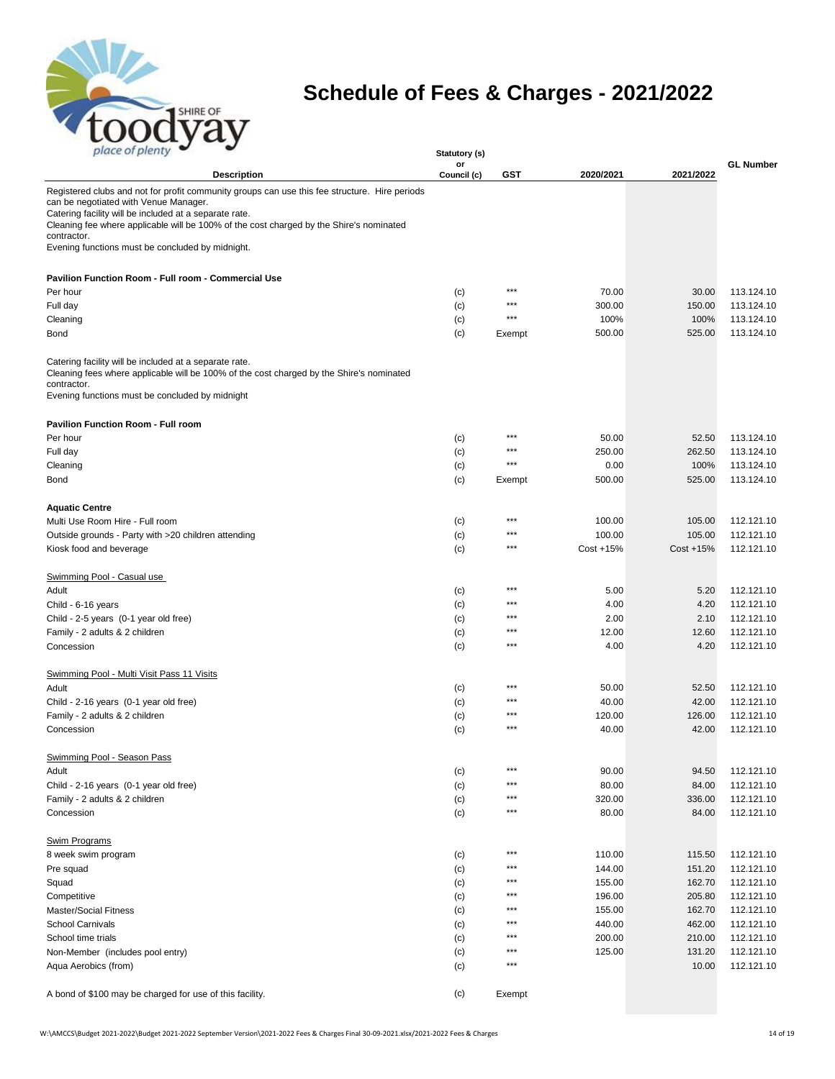

| place of plenty                                                                                                                                                                                                      |                   | Statutory (s) |                |                |                          |
|----------------------------------------------------------------------------------------------------------------------------------------------------------------------------------------------------------------------|-------------------|---------------|----------------|----------------|--------------------------|
| <b>Description</b>                                                                                                                                                                                                   | or<br>Council (c) | GST           | 2020/2021      | 2021/2022      | <b>GL Number</b>         |
| Registered clubs and not for profit community groups can use this fee structure. Hire periods                                                                                                                        |                   |               |                |                |                          |
| can be negotiated with Venue Manager.                                                                                                                                                                                |                   |               |                |                |                          |
| Catering facility will be included at a separate rate.                                                                                                                                                               |                   |               |                |                |                          |
| Cleaning fee where applicable will be 100% of the cost charged by the Shire's nominated<br>contractor.                                                                                                               |                   |               |                |                |                          |
| Evening functions must be concluded by midnight.                                                                                                                                                                     |                   |               |                |                |                          |
| Pavilion Function Room - Full room - Commercial Use                                                                                                                                                                  |                   |               |                |                |                          |
| Per hour                                                                                                                                                                                                             | (c)               | $***$         | 70.00          | 30.00          | 113.124.10               |
| Full day                                                                                                                                                                                                             | (c)               | $***$         | 300.00         | 150.00         | 113.124.10               |
| Cleaning                                                                                                                                                                                                             | (c)               | $***$         | 100%           | 100%           | 113.124.10               |
| <b>Bond</b>                                                                                                                                                                                                          | (c)               | Exempt        | 500.00         | 525.00         | 113.124.10               |
| Catering facility will be included at a separate rate.<br>Cleaning fees where applicable will be 100% of the cost charged by the Shire's nominated<br>contractor.<br>Evening functions must be concluded by midnight |                   |               |                |                |                          |
| <b>Pavilion Function Room - Full room</b>                                                                                                                                                                            |                   |               |                |                |                          |
| Per hour                                                                                                                                                                                                             | (c)               | $***$         | 50.00          | 52.50          | 113.124.10               |
| Full day                                                                                                                                                                                                             | (c)               | $***$         | 250.00         | 262.50         | 113.124.10               |
| Cleaning                                                                                                                                                                                                             | (c)               | $***$         | 0.00           | 100%           | 113.124.10               |
| Bond                                                                                                                                                                                                                 | (c)               | Exempt        | 500.00         | 525.00         | 113.124.10               |
| <b>Aquatic Centre</b>                                                                                                                                                                                                |                   |               |                |                |                          |
| Multi Use Room Hire - Full room                                                                                                                                                                                      | (c)               | $***$         | 100.00         | 105.00         | 112.121.10               |
| Outside grounds - Party with >20 children attending                                                                                                                                                                  | (c)               | $***$         | 100.00         | 105.00         | 112.121.10               |
| Kiosk food and beverage                                                                                                                                                                                              | (c)               | ***           | Cost +15%      | Cost +15%      | 112.121.10               |
| Swimming Pool - Casual use                                                                                                                                                                                           |                   |               |                |                |                          |
| Adult                                                                                                                                                                                                                | (c)               | $***$         | 5.00           | 5.20           | 112.121.10               |
| Child - 6-16 years                                                                                                                                                                                                   | (c)               | $***$         | 4.00           | 4.20           | 112.121.10               |
| Child - 2-5 years (0-1 year old free)                                                                                                                                                                                | (c)               | ***           | 2.00           | 2.10           | 112.121.10               |
| Family - 2 adults & 2 children                                                                                                                                                                                       | (c)               | ***           | 12.00          | 12.60          | 112.121.10               |
| Concession                                                                                                                                                                                                           | (c)               | ***           | 4.00           | 4.20           | 112.121.10               |
| Swimming Pool - Multi Visit Pass 11 Visits                                                                                                                                                                           |                   |               |                |                |                          |
| Adult                                                                                                                                                                                                                | (c)               | ***           | 50.00          | 52.50          | 112.121.10               |
| Child - 2-16 years (0-1 year old free)                                                                                                                                                                               | (c)               | ***           | 40.00          | 42.00          | 112.121.10               |
| Family - 2 adults & 2 children                                                                                                                                                                                       | (c)               | ***           | 120.00         | 126.00         | 112.121.10               |
| Concession                                                                                                                                                                                                           | (c)               | $***$         | 40.00          | 42.00          | 112.121.10               |
| Swimming Pool - Season Pass                                                                                                                                                                                          |                   | ***           |                |                |                          |
| Adult                                                                                                                                                                                                                | (c)               | ***           | 90.00<br>80.00 | 94.50<br>84.00 | 112.121.10<br>112.121.10 |
| Child - 2-16 years (0-1 year old free)<br>Family - 2 adults & 2 children                                                                                                                                             | (c)               | $***$         | 320.00         | 336.00         | 112.121.10               |
| Concession                                                                                                                                                                                                           | (c)<br>(c)        | $***$         | 80.00          | 84.00          | 112.121.10               |
| <b>Swim Programs</b>                                                                                                                                                                                                 |                   |               |                |                |                          |
| 8 week swim program                                                                                                                                                                                                  | (c)               | $***$         | 110.00         | 115.50         | 112.121.10               |
| Pre squad                                                                                                                                                                                                            | (c)               | $***$         | 144.00         | 151.20         | 112.121.10               |
| Squad                                                                                                                                                                                                                | (c)               | $***$         | 155.00         | 162.70         | 112.121.10               |
| Competitive                                                                                                                                                                                                          | (c)               | $***$         | 196.00         | 205.80         | 112.121.10               |
| <b>Master/Social Fitness</b>                                                                                                                                                                                         | (c)               | ***           | 155.00         | 162.70         | 112.121.10               |
| <b>School Carnivals</b>                                                                                                                                                                                              | (c)               | ***           | 440.00         | 462.00         | 112.121.10               |
| School time trials                                                                                                                                                                                                   | (c)               | $***$         | 200.00         | 210.00         | 112.121.10               |
| Non-Member (includes pool entry)                                                                                                                                                                                     | (c)               | $***$         | 125.00         | 131.20         | 112.121.10               |
| Aqua Aerobics (from)                                                                                                                                                                                                 | (c)               | ***           |                | 10.00          | 112.121.10               |
| A bond of \$100 may be charged for use of this facility.                                                                                                                                                             | (c)               | Exempt        |                |                |                          |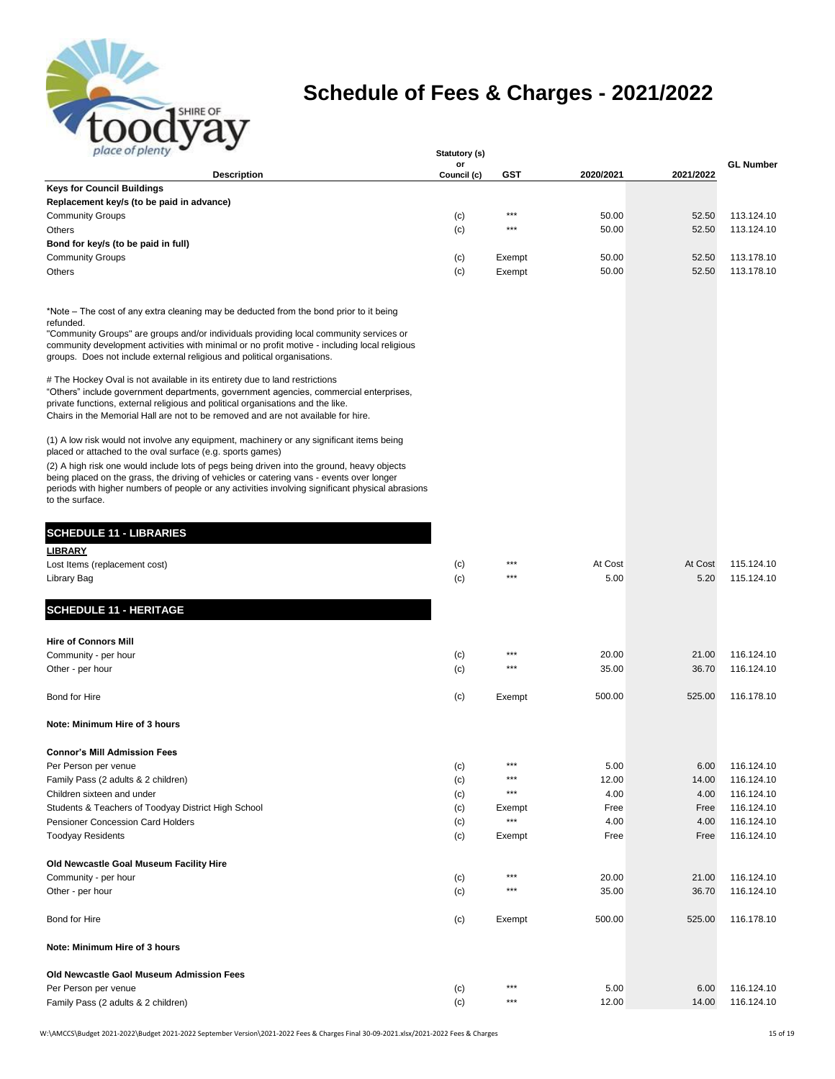

| place of plenty                                                                                                                                                                                                                                                                                                                                                                                                                                                                                                                                                                                                                                                                                                                                                                                                                                                                                                                                                                                                                                                                                                                                                                                       | Statutory (s)     |            |           |           |                  |
|-------------------------------------------------------------------------------------------------------------------------------------------------------------------------------------------------------------------------------------------------------------------------------------------------------------------------------------------------------------------------------------------------------------------------------------------------------------------------------------------------------------------------------------------------------------------------------------------------------------------------------------------------------------------------------------------------------------------------------------------------------------------------------------------------------------------------------------------------------------------------------------------------------------------------------------------------------------------------------------------------------------------------------------------------------------------------------------------------------------------------------------------------------------------------------------------------------|-------------------|------------|-----------|-----------|------------------|
| <b>Description</b>                                                                                                                                                                                                                                                                                                                                                                                                                                                                                                                                                                                                                                                                                                                                                                                                                                                                                                                                                                                                                                                                                                                                                                                    | or<br>Council (c) | <b>GST</b> | 2020/2021 | 2021/2022 | <b>GL Number</b> |
| <b>Keys for Council Buildings</b>                                                                                                                                                                                                                                                                                                                                                                                                                                                                                                                                                                                                                                                                                                                                                                                                                                                                                                                                                                                                                                                                                                                                                                     |                   |            |           |           |                  |
| Replacement key/s (to be paid in advance)                                                                                                                                                                                                                                                                                                                                                                                                                                                                                                                                                                                                                                                                                                                                                                                                                                                                                                                                                                                                                                                                                                                                                             |                   |            |           |           |                  |
| <b>Community Groups</b>                                                                                                                                                                                                                                                                                                                                                                                                                                                                                                                                                                                                                                                                                                                                                                                                                                                                                                                                                                                                                                                                                                                                                                               | (c)               | $***$      | 50.00     | 52.50     | 113.124.10       |
| Others                                                                                                                                                                                                                                                                                                                                                                                                                                                                                                                                                                                                                                                                                                                                                                                                                                                                                                                                                                                                                                                                                                                                                                                                | (c)               | ***        | 50.00     | 52.50     | 113.124.10       |
| Bond for key/s (to be paid in full)                                                                                                                                                                                                                                                                                                                                                                                                                                                                                                                                                                                                                                                                                                                                                                                                                                                                                                                                                                                                                                                                                                                                                                   |                   |            |           |           |                  |
| <b>Community Groups</b>                                                                                                                                                                                                                                                                                                                                                                                                                                                                                                                                                                                                                                                                                                                                                                                                                                                                                                                                                                                                                                                                                                                                                                               | (c)               | Exempt     | 50.00     | 52.50     | 113.178.10       |
| Others                                                                                                                                                                                                                                                                                                                                                                                                                                                                                                                                                                                                                                                                                                                                                                                                                                                                                                                                                                                                                                                                                                                                                                                                | (c)               | Exempt     | 50.00     | 52.50     | 113.178.10       |
| *Note – The cost of any extra cleaning may be deducted from the bond prior to it being<br>refunded.<br>"Community Groups" are groups and/or individuals providing local community services or<br>community development activities with minimal or no profit motive - including local religious<br>groups. Does not include external religious and political organisations.<br># The Hockey Oval is not available in its entirety due to land restrictions<br>"Others" include government departments, government agencies, commercial enterprises,<br>private functions, external religious and political organisations and the like.<br>Chairs in the Memorial Hall are not to be removed and are not available for hire.<br>(1) A low risk would not involve any equipment, machinery or any significant items being<br>placed or attached to the oval surface (e.g. sports games)<br>(2) A high risk one would include lots of pegs being driven into the ground, heavy objects<br>being placed on the grass, the driving of vehicles or catering vans - events over longer<br>periods with higher numbers of people or any activities involving significant physical abrasions<br>to the surface. |                   |            |           |           |                  |
|                                                                                                                                                                                                                                                                                                                                                                                                                                                                                                                                                                                                                                                                                                                                                                                                                                                                                                                                                                                                                                                                                                                                                                                                       |                   |            |           |           |                  |
| <b>SCHEDULE 11 - LIBRARIES</b>                                                                                                                                                                                                                                                                                                                                                                                                                                                                                                                                                                                                                                                                                                                                                                                                                                                                                                                                                                                                                                                                                                                                                                        |                   |            |           |           |                  |
| <b>LIBRARY</b>                                                                                                                                                                                                                                                                                                                                                                                                                                                                                                                                                                                                                                                                                                                                                                                                                                                                                                                                                                                                                                                                                                                                                                                        |                   |            |           |           |                  |
| Lost Items (replacement cost)                                                                                                                                                                                                                                                                                                                                                                                                                                                                                                                                                                                                                                                                                                                                                                                                                                                                                                                                                                                                                                                                                                                                                                         | (c)               | $***$      | At Cost   | At Cost   | 115.124.10       |
| Library Bag                                                                                                                                                                                                                                                                                                                                                                                                                                                                                                                                                                                                                                                                                                                                                                                                                                                                                                                                                                                                                                                                                                                                                                                           | (c)               | ***        | 5.00      | 5.20      | 115.124.10       |
| <b>SCHEDULE 11 - HERITAGE</b>                                                                                                                                                                                                                                                                                                                                                                                                                                                                                                                                                                                                                                                                                                                                                                                                                                                                                                                                                                                                                                                                                                                                                                         |                   |            |           |           |                  |
|                                                                                                                                                                                                                                                                                                                                                                                                                                                                                                                                                                                                                                                                                                                                                                                                                                                                                                                                                                                                                                                                                                                                                                                                       |                   |            |           |           |                  |
| <b>Hire of Connors Mill</b>                                                                                                                                                                                                                                                                                                                                                                                                                                                                                                                                                                                                                                                                                                                                                                                                                                                                                                                                                                                                                                                                                                                                                                           |                   |            |           |           |                  |
| Community - per hour                                                                                                                                                                                                                                                                                                                                                                                                                                                                                                                                                                                                                                                                                                                                                                                                                                                                                                                                                                                                                                                                                                                                                                                  | (c)               | ***        | 20.00     | 21.00     | 116.124.10       |
| Other - per hour                                                                                                                                                                                                                                                                                                                                                                                                                                                                                                                                                                                                                                                                                                                                                                                                                                                                                                                                                                                                                                                                                                                                                                                      | (c)               | ***        | 35.00     | 36.70     | 116.124.10       |
| Bond for Hire                                                                                                                                                                                                                                                                                                                                                                                                                                                                                                                                                                                                                                                                                                                                                                                                                                                                                                                                                                                                                                                                                                                                                                                         | (c)               | Exempt     | 500.00    | 525.00    | 116.178.10       |
| Note: Minimum Hire of 3 hours                                                                                                                                                                                                                                                                                                                                                                                                                                                                                                                                                                                                                                                                                                                                                                                                                                                                                                                                                                                                                                                                                                                                                                         |                   |            |           |           |                  |
| <b>Connor's Mill Admission Fees</b>                                                                                                                                                                                                                                                                                                                                                                                                                                                                                                                                                                                                                                                                                                                                                                                                                                                                                                                                                                                                                                                                                                                                                                   |                   |            |           |           |                  |
| Per Person per venue                                                                                                                                                                                                                                                                                                                                                                                                                                                                                                                                                                                                                                                                                                                                                                                                                                                                                                                                                                                                                                                                                                                                                                                  | (c)               | ***        | 5.00      | 6.00      | 116.124.10       |
| Family Pass (2 adults & 2 children)                                                                                                                                                                                                                                                                                                                                                                                                                                                                                                                                                                                                                                                                                                                                                                                                                                                                                                                                                                                                                                                                                                                                                                   | (c)               | ***        | 12.00     | 14.00     | 116.124.10       |
| Children sixteen and under                                                                                                                                                                                                                                                                                                                                                                                                                                                                                                                                                                                                                                                                                                                                                                                                                                                                                                                                                                                                                                                                                                                                                                            | (c)               | $***$      | 4.00      | 4.00      | 116.124.10       |
| Students & Teachers of Toodyay District High School                                                                                                                                                                                                                                                                                                                                                                                                                                                                                                                                                                                                                                                                                                                                                                                                                                                                                                                                                                                                                                                                                                                                                   | (c)               | Exempt     | Free      | Free      | 116.124.10       |
| Pensioner Concession Card Holders                                                                                                                                                                                                                                                                                                                                                                                                                                                                                                                                                                                                                                                                                                                                                                                                                                                                                                                                                                                                                                                                                                                                                                     | (c)               | $***$      | 4.00      | 4.00      | 116.124.10       |
| <b>Toodyay Residents</b>                                                                                                                                                                                                                                                                                                                                                                                                                                                                                                                                                                                                                                                                                                                                                                                                                                                                                                                                                                                                                                                                                                                                                                              | (c)               | Exempt     | Free      | Free      | 116.124.10       |
|                                                                                                                                                                                                                                                                                                                                                                                                                                                                                                                                                                                                                                                                                                                                                                                                                                                                                                                                                                                                                                                                                                                                                                                                       |                   |            |           |           |                  |
| Old Newcastle Goal Museum Facility Hire                                                                                                                                                                                                                                                                                                                                                                                                                                                                                                                                                                                                                                                                                                                                                                                                                                                                                                                                                                                                                                                                                                                                                               |                   |            |           |           |                  |
| Community - per hour                                                                                                                                                                                                                                                                                                                                                                                                                                                                                                                                                                                                                                                                                                                                                                                                                                                                                                                                                                                                                                                                                                                                                                                  | (c)               | $***$      | 20.00     | 21.00     | 116.124.10       |
| Other - per hour                                                                                                                                                                                                                                                                                                                                                                                                                                                                                                                                                                                                                                                                                                                                                                                                                                                                                                                                                                                                                                                                                                                                                                                      | (c)               | $***$      | 35.00     | 36.70     | 116.124.10       |
| Bond for Hire                                                                                                                                                                                                                                                                                                                                                                                                                                                                                                                                                                                                                                                                                                                                                                                                                                                                                                                                                                                                                                                                                                                                                                                         | (c)               | Exempt     | 500.00    | 525.00    | 116.178.10       |
| Note: Minimum Hire of 3 hours                                                                                                                                                                                                                                                                                                                                                                                                                                                                                                                                                                                                                                                                                                                                                                                                                                                                                                                                                                                                                                                                                                                                                                         |                   |            |           |           |                  |
| Old Newcastle Gaol Museum Admission Fees                                                                                                                                                                                                                                                                                                                                                                                                                                                                                                                                                                                                                                                                                                                                                                                                                                                                                                                                                                                                                                                                                                                                                              |                   |            |           |           |                  |
| Per Person per venue                                                                                                                                                                                                                                                                                                                                                                                                                                                                                                                                                                                                                                                                                                                                                                                                                                                                                                                                                                                                                                                                                                                                                                                  | (c)               | ***        | 5.00      | 6.00      | 116.124.10       |
| Family Pass (2 adults & 2 children)                                                                                                                                                                                                                                                                                                                                                                                                                                                                                                                                                                                                                                                                                                                                                                                                                                                                                                                                                                                                                                                                                                                                                                   | (c)               | ***        | 12.00     | 14.00     | 116.124.10       |

W:\AMCCS\Budget 2021-2022\Budget 2021-2022 September Version\2021-2022 Fees & Charges Final 30-09-2021.xlsx/2021-2022 Fees & Charges 15 of 19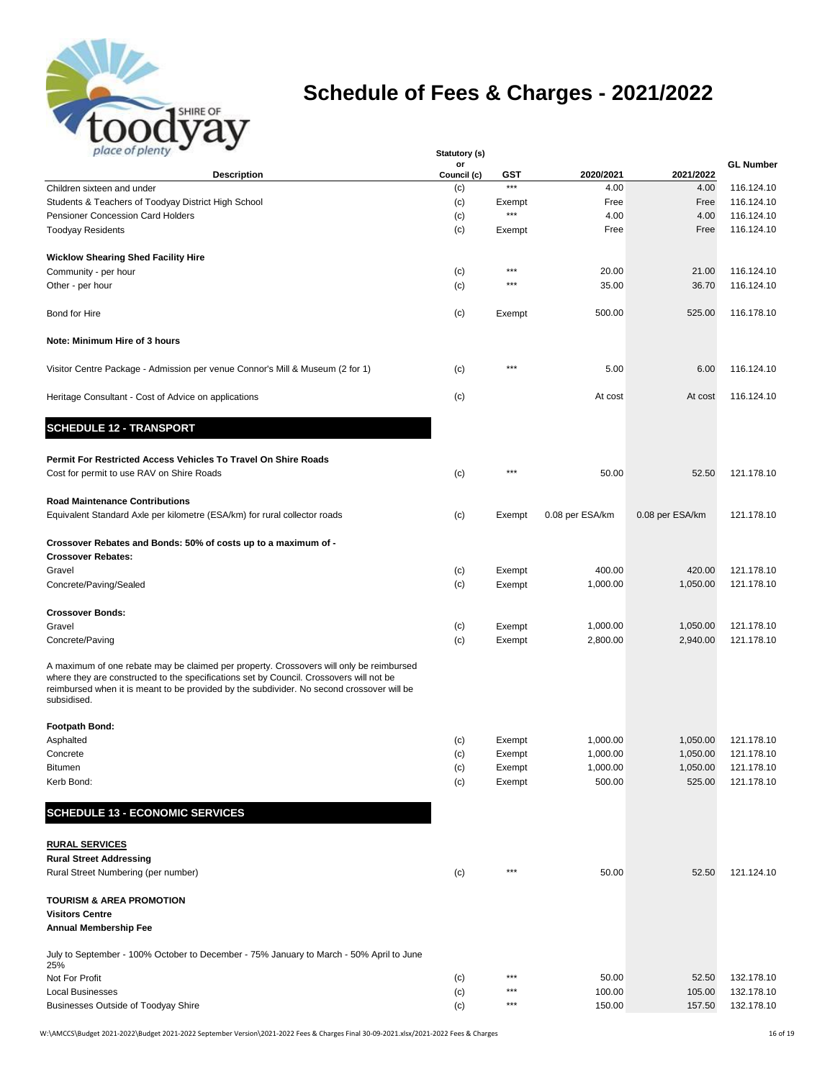

| place of plenty                                                                                                                                                                                                                                                                                | Statutory (s)     |        |                 |                 |                  |
|------------------------------------------------------------------------------------------------------------------------------------------------------------------------------------------------------------------------------------------------------------------------------------------------|-------------------|--------|-----------------|-----------------|------------------|
| <b>Description</b>                                                                                                                                                                                                                                                                             | or<br>Council (c) | GST    | 2020/2021       | 2021/2022       | <b>GL Number</b> |
| Children sixteen and under                                                                                                                                                                                                                                                                     | (c)               | $***$  | 4.00            | 4.00            | 116.124.10       |
| Students & Teachers of Toodyay District High School                                                                                                                                                                                                                                            | (c)               | Exempt | Free            | Free            | 116.124.10       |
| Pensioner Concession Card Holders                                                                                                                                                                                                                                                              | (c)               | $***$  | 4.00            | 4.00            | 116.124.10       |
| <b>Toodyay Residents</b>                                                                                                                                                                                                                                                                       | (c)               | Exempt | Free            | Free            | 116.124.10       |
| <b>Wicklow Shearing Shed Facility Hire</b>                                                                                                                                                                                                                                                     |                   |        |                 |                 |                  |
| Community - per hour                                                                                                                                                                                                                                                                           | (c)               | ***    | 20.00           | 21.00           | 116.124.10       |
| Other - per hour                                                                                                                                                                                                                                                                               | (c)               | ***    | 35.00           | 36.70           | 116.124.10       |
|                                                                                                                                                                                                                                                                                                |                   |        |                 |                 |                  |
| Bond for Hire                                                                                                                                                                                                                                                                                  | (c)               | Exempt | 500.00          | 525.00          | 116.178.10       |
| Note: Minimum Hire of 3 hours                                                                                                                                                                                                                                                                  |                   |        |                 |                 |                  |
| Visitor Centre Package - Admission per venue Connor's Mill & Museum (2 for 1)                                                                                                                                                                                                                  | (c)               | $***$  | 5.00            | 6.00            | 116.124.10       |
| Heritage Consultant - Cost of Advice on applications                                                                                                                                                                                                                                           | (c)               |        | At cost         | At cost         | 116.124.10       |
| <b>SCHEDULE 12 - TRANSPORT</b>                                                                                                                                                                                                                                                                 |                   |        |                 |                 |                  |
| Permit For Restricted Access Vehicles To Travel On Shire Roads                                                                                                                                                                                                                                 |                   |        |                 |                 |                  |
| Cost for permit to use RAV on Shire Roads                                                                                                                                                                                                                                                      | (c)               | $***$  | 50.00           | 52.50           | 121.178.10       |
| <b>Road Maintenance Contributions</b>                                                                                                                                                                                                                                                          |                   |        |                 |                 |                  |
| Equivalent Standard Axle per kilometre (ESA/km) for rural collector roads                                                                                                                                                                                                                      | (c)               | Exempt | 0.08 per ESA/km | 0.08 per ESA/km | 121.178.10       |
| Crossover Rebates and Bonds: 50% of costs up to a maximum of -                                                                                                                                                                                                                                 |                   |        |                 |                 |                  |
| <b>Crossover Rebates:</b>                                                                                                                                                                                                                                                                      |                   |        |                 |                 |                  |
| Gravel                                                                                                                                                                                                                                                                                         | (c)               | Exempt | 400.00          | 420.00          | 121.178.10       |
| Concrete/Paving/Sealed                                                                                                                                                                                                                                                                         | (c)               | Exempt | 1,000.00        | 1,050.00        | 121.178.10       |
| <b>Crossover Bonds:</b>                                                                                                                                                                                                                                                                        |                   |        |                 |                 |                  |
| Gravel                                                                                                                                                                                                                                                                                         | (c)               | Exempt | 1,000.00        | 1,050.00        | 121.178.10       |
| Concrete/Paving                                                                                                                                                                                                                                                                                | (c)               | Exempt | 2,800.00        | 2,940.00        | 121.178.10       |
| A maximum of one rebate may be claimed per property. Crossovers will only be reimbursed<br>where they are constructed to the specifications set by Council. Crossovers will not be<br>reimbursed when it is meant to be provided by the subdivider. No second crossover will be<br>subsidised. |                   |        |                 |                 |                  |
| <b>Footpath Bond:</b>                                                                                                                                                                                                                                                                          |                   |        |                 |                 |                  |
| Asphalted                                                                                                                                                                                                                                                                                      | (c)               | Exempt | 1,000.00        | 1,050.00        | 121.178.10       |
| Concrete                                                                                                                                                                                                                                                                                       | (c)               | Exempt | 1.000.00        | 1,050.00        | 121.178.10       |
| <b>Bitumen</b>                                                                                                                                                                                                                                                                                 | (c)               | Exempt | 1,000.00        | 1,050.00        | 121.178.10       |
| Kerb Bond:                                                                                                                                                                                                                                                                                     | (c)               | Exempt | 500.00          | 525.00          | 121.178.10       |
| <b>SCHEDULE 13 - ECONOMIC SERVICES</b>                                                                                                                                                                                                                                                         |                   |        |                 |                 |                  |
| <b>RURAL SERVICES</b>                                                                                                                                                                                                                                                                          |                   |        |                 |                 |                  |
| <b>Rural Street Addressing</b>                                                                                                                                                                                                                                                                 |                   |        |                 |                 |                  |
| Rural Street Numbering (per number)                                                                                                                                                                                                                                                            | (c)               | $***$  | 50.00           | 52.50           | 121.124.10       |
| <b>TOURISM &amp; AREA PROMOTION</b>                                                                                                                                                                                                                                                            |                   |        |                 |                 |                  |
| <b>Visitors Centre</b>                                                                                                                                                                                                                                                                         |                   |        |                 |                 |                  |
| <b>Annual Membership Fee</b>                                                                                                                                                                                                                                                                   |                   |        |                 |                 |                  |
| July to September - 100% October to December - 75% January to March - 50% April to June                                                                                                                                                                                                        |                   |        |                 |                 |                  |
| 25%<br>Not For Profit                                                                                                                                                                                                                                                                          | (c)               | $***$  | 50.00           | 52.50           | 132.178.10       |
| <b>Local Businesses</b>                                                                                                                                                                                                                                                                        | (c)               | ***    | 100.00          | 105.00          | 132.178.10       |
| <b>Businesses Outside of Toodyay Shire</b>                                                                                                                                                                                                                                                     |                   | $***$  | 150.00          | 157.50          | 132.178.10       |
|                                                                                                                                                                                                                                                                                                | (c)               |        |                 |                 |                  |

W:\AMCCS\Budget 2021-2022\Budget 2021-2022 September Version\2021-2022 Fees & Charges Final 30-09-2021.xlsx/2021-2022 Fees & Charges 16 of 19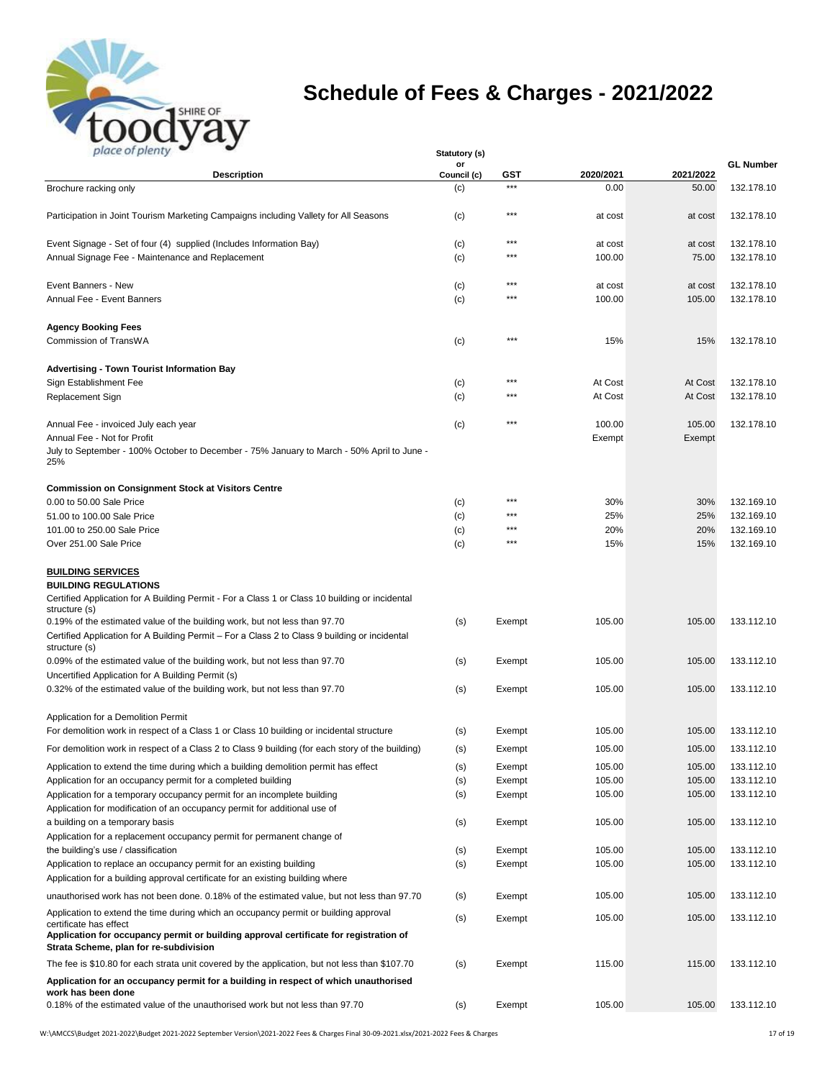

| place of plenty                                                                                                                                | Statutory (s)     |            |            |                  |                          |
|------------------------------------------------------------------------------------------------------------------------------------------------|-------------------|------------|------------|------------------|--------------------------|
| <b>Description</b>                                                                                                                             | or<br>Council (c) | GST        | 2020/2021  | 2021/2022        | <b>GL Number</b>         |
| Brochure racking only                                                                                                                          | (c)               | ***        | 0.00       | 50.00            | 132.178.10               |
| Participation in Joint Tourism Marketing Campaigns including Vallety for All Seasons                                                           | (c)               | ***        | at cost    | at cost          | 132.178.10               |
| Event Signage - Set of four (4) supplied (Includes Information Bay)                                                                            | (c)               | ***        | at cost    | at cost          | 132.178.10               |
| Annual Signage Fee - Maintenance and Replacement                                                                                               | (c)               | ***        | 100.00     | 75.00            | 132.178.10               |
| Event Banners - New                                                                                                                            | (c)               | $***$      | at cost    | at cost          | 132.178.10               |
| Annual Fee - Event Banners                                                                                                                     | (c)               | ***        | 100.00     | 105.00           | 132.178.10               |
| <b>Agency Booking Fees</b>                                                                                                                     |                   |            |            |                  |                          |
| Commission of TransWA                                                                                                                          | (c)               | ***        | 15%        | 15%              | 132.178.10               |
| <b>Advertising - Town Tourist Information Bay</b>                                                                                              |                   | ***        | At Cost    | At Cost          | 132.178.10               |
| Sign Establishment Fee<br>Replacement Sign                                                                                                     | (c)<br>(c)        | ***        | At Cost    | At Cost          | 132.178.10               |
|                                                                                                                                                |                   |            |            |                  |                          |
| Annual Fee - invoiced July each year<br>Annual Fee - Not for Profit                                                                            | (c)               | $***$      | 100.00     | 105.00<br>Exempt | 132.178.10               |
| July to September - 100% October to December - 75% January to March - 50% April to June -                                                      |                   |            | Exempt     |                  |                          |
| 25%                                                                                                                                            |                   |            |            |                  |                          |
| <b>Commission on Consignment Stock at Visitors Centre</b>                                                                                      |                   |            |            |                  |                          |
| 0.00 to 50.00 Sale Price                                                                                                                       | (c)               | ***        | 30%        | 30%              | 132.169.10               |
| 51.00 to 100.00 Sale Price                                                                                                                     | (c)               | $***$      | 25%        | 25%              | 132.169.10               |
| 101.00 to 250.00 Sale Price<br>Over 251.00 Sale Price                                                                                          | (c)<br>(c)        | ***<br>*** | 20%<br>15% | 20%<br>15%       | 132.169.10<br>132.169.10 |
|                                                                                                                                                |                   |            |            |                  |                          |
| <b>BUILDING SERVICES</b>                                                                                                                       |                   |            |            |                  |                          |
| <b>BUILDING REGULATIONS</b><br>Certified Application for A Building Permit - For a Class 1 or Class 10 building or incidental<br>structure (s) |                   |            |            |                  |                          |
| 0.19% of the estimated value of the building work, but not less than 97.70                                                                     | (s)               | Exempt     | 105.00     | 105.00           | 133.112.10               |
| Certified Application for A Building Permit – For a Class 2 to Class 9 building or incidental<br>structure (s)                                 |                   |            |            |                  |                          |
| 0.09% of the estimated value of the building work, but not less than 97.70<br>Uncertified Application for A Building Permit (s)                | (s)               | Exempt     | 105.00     | 105.00           | 133.112.10               |
| 0.32% of the estimated value of the building work, but not less than 97.70                                                                     | (s)               | Exempt     | 105.00     | 105.00           | 133.112.10               |
| Application for a Demolition Permit                                                                                                            |                   |            |            |                  |                          |
| For demolition work in respect of a Class 1 or Class 10 building or incidental structure                                                       | (s)               | Exempt     | 105.00     | 105.00           | 133.112.10               |
| For demolition work in respect of a Class 2 to Class 9 building (for each story of the building)                                               | (s)               | Exempt     | 105.00     | 105.00           | 133.112.10               |
| Application to extend the time during which a building demolition permit has effect                                                            | (s)               | Exempt     | 105.00     | 105.00           | 133.112.10               |
| Application for an occupancy permit for a completed building                                                                                   | (s)               | Exempt     | 105.00     | 105.00           | 133.112.10               |
| Application for a temporary occupancy permit for an incomplete building                                                                        | (s)               | Exempt     | 105.00     | 105.00           | 133.112.10               |
| Application for modification of an occupancy permit for additional use of<br>a building on a temporary basis                                   | (s)               | Exempt     | 105.00     | 105.00           | 133.112.10               |
| Application for a replacement occupancy permit for permanent change of                                                                         |                   |            |            |                  |                          |
| the building's use / classification                                                                                                            | (s)               | Exempt     | 105.00     | 105.00           | 133.112.10               |
| Application to replace an occupancy permit for an existing building                                                                            | (s)               | Exempt     | 105.00     | 105.00           | 133.112.10               |
| Application for a building approval certificate for an existing building where                                                                 |                   |            |            |                  |                          |
| unauthorised work has not been done. 0.18% of the estimated value, but not less than 97.70                                                     | (s)               | Exempt     | 105.00     | 105.00           | 133.112.10               |
| Application to extend the time during which an occupancy permit or building approval<br>certificate has effect                                 | (s)               | Exempt     | 105.00     | 105.00           | 133.112.10               |
| Application for occupancy permit or building approval certificate for registration of<br>Strata Scheme, plan for re-subdivision                |                   |            |            |                  |                          |
| The fee is \$10.80 for each strata unit covered by the application, but not less than \$107.70                                                 | (s)               | Exempt     | 115.00     | 115.00           | 133.112.10               |
| Application for an occupancy permit for a building in respect of which unauthorised<br>work has been done                                      |                   |            |            |                  |                          |
| 0.18% of the estimated value of the unauthorised work but not less than 97.70                                                                  | (s)               | Exempt     | 105.00     | 105.00           | 133.112.10               |

W:\AMCCS\Budget 2021-2022\Budget 2021-2022 September Version\2021-2022 Fees & Charges Final 30-09-2021.xlsx/2021-2022 Fees & Charges 17 of 19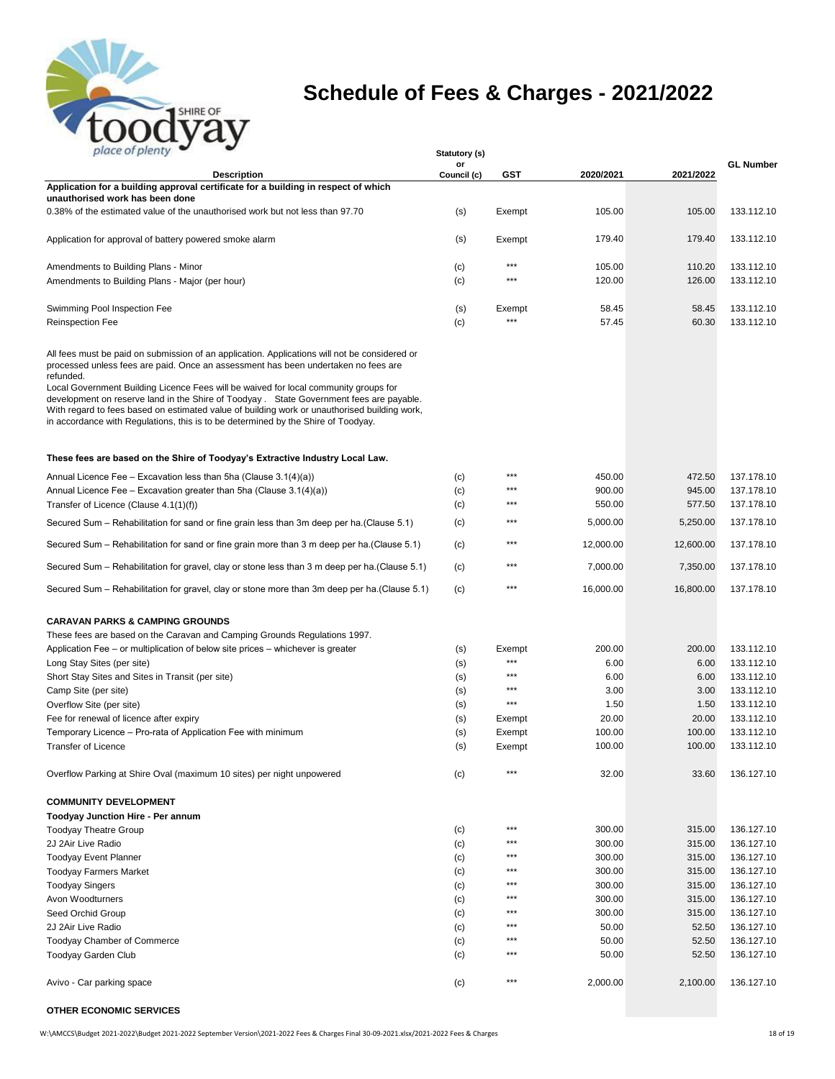

| place of plenty                                                                                                                                                                                                                                                                                                                                                                                                                                                                                                                                                          | Statutory (s)     |            |           |           |                  |
|--------------------------------------------------------------------------------------------------------------------------------------------------------------------------------------------------------------------------------------------------------------------------------------------------------------------------------------------------------------------------------------------------------------------------------------------------------------------------------------------------------------------------------------------------------------------------|-------------------|------------|-----------|-----------|------------------|
| <b>Description</b>                                                                                                                                                                                                                                                                                                                                                                                                                                                                                                                                                       | or<br>Council (c) | <b>GST</b> | 2020/2021 | 2021/2022 | <b>GL Number</b> |
| Application for a building approval certificate for a building in respect of which                                                                                                                                                                                                                                                                                                                                                                                                                                                                                       |                   |            |           |           |                  |
| unauthorised work has been done                                                                                                                                                                                                                                                                                                                                                                                                                                                                                                                                          |                   |            |           |           |                  |
| 0.38% of the estimated value of the unauthorised work but not less than 97.70                                                                                                                                                                                                                                                                                                                                                                                                                                                                                            | (s)               | Exempt     | 105.00    | 105.00    | 133.112.10       |
| Application for approval of battery powered smoke alarm                                                                                                                                                                                                                                                                                                                                                                                                                                                                                                                  | (s)               | Exempt     | 179.40    | 179.40    | 133.112.10       |
| Amendments to Building Plans - Minor                                                                                                                                                                                                                                                                                                                                                                                                                                                                                                                                     | (c)               | $***$      | 105.00    | 110.20    | 133.112.10       |
| Amendments to Building Plans - Major (per hour)                                                                                                                                                                                                                                                                                                                                                                                                                                                                                                                          | (c)               | ***        | 120.00    | 126.00    | 133.112.10       |
|                                                                                                                                                                                                                                                                                                                                                                                                                                                                                                                                                                          |                   |            |           |           |                  |
| Swimming Pool Inspection Fee                                                                                                                                                                                                                                                                                                                                                                                                                                                                                                                                             | (s)               | Exempt     | 58.45     | 58.45     | 133.112.10       |
| <b>Reinspection Fee</b>                                                                                                                                                                                                                                                                                                                                                                                                                                                                                                                                                  | (c)               | $***$      | 57.45     | 60.30     | 133.112.10       |
| All fees must be paid on submission of an application. Applications will not be considered or<br>processed unless fees are paid. Once an assessment has been undertaken no fees are<br>refunded.<br>Local Government Building Licence Fees will be waived for local community groups for<br>development on reserve land in the Shire of Toodyay. State Government fees are payable.<br>With regard to fees based on estimated value of building work or unauthorised building work,<br>in accordance with Regulations, this is to be determined by the Shire of Toodyay. |                   |            |           |           |                  |
| These fees are based on the Shire of Toodyay's Extractive Industry Local Law.                                                                                                                                                                                                                                                                                                                                                                                                                                                                                            |                   |            |           |           |                  |
| Annual Licence Fee – Excavation less than 5ha (Clause 3.1(4)(a))                                                                                                                                                                                                                                                                                                                                                                                                                                                                                                         | (c)               | ***        | 450.00    | 472.50    | 137.178.10       |
| Annual Licence Fee - Excavation greater than 5ha (Clause 3.1(4)(a))                                                                                                                                                                                                                                                                                                                                                                                                                                                                                                      | (c)               | ***        | 900.00    | 945.00    | 137.178.10       |
| Transfer of Licence (Clause 4.1(1)(f))                                                                                                                                                                                                                                                                                                                                                                                                                                                                                                                                   | (c)               | $***$      | 550.00    | 577.50    | 137.178.10       |
| Secured Sum – Rehabilitation for sand or fine grain less than 3m deep per ha.(Clause 5.1)                                                                                                                                                                                                                                                                                                                                                                                                                                                                                | (c)               | ***        | 5,000.00  | 5,250.00  | 137.178.10       |
| Secured Sum – Rehabilitation for sand or fine grain more than 3 m deep per ha. (Clause 5.1)                                                                                                                                                                                                                                                                                                                                                                                                                                                                              | (c)               | ***        | 12,000.00 | 12,600.00 | 137.178.10       |
| Secured Sum – Rehabilitation for gravel, clay or stone less than 3 m deep per ha. (Clause 5.1)                                                                                                                                                                                                                                                                                                                                                                                                                                                                           | (c)               | ***        | 7,000.00  | 7,350.00  | 137.178.10       |
| Secured Sum - Rehabilitation for gravel, clay or stone more than 3m deep per ha. (Clause 5.1)                                                                                                                                                                                                                                                                                                                                                                                                                                                                            | (c)               | ***        | 16,000.00 | 16,800.00 | 137.178.10       |
| <b>CARAVAN PARKS &amp; CAMPING GROUNDS</b>                                                                                                                                                                                                                                                                                                                                                                                                                                                                                                                               |                   |            |           |           |                  |
| These fees are based on the Caravan and Camping Grounds Regulations 1997.                                                                                                                                                                                                                                                                                                                                                                                                                                                                                                |                   |            |           |           |                  |
| Application Fee – or multiplication of below site prices – whichever is greater                                                                                                                                                                                                                                                                                                                                                                                                                                                                                          | (s)               | Exempt     | 200.00    | 200.00    | 133.112.10       |
| Long Stay Sites (per site)                                                                                                                                                                                                                                                                                                                                                                                                                                                                                                                                               | (s)               | $***$      | 6.00      | 6.00      | 133.112.10       |
| Short Stay Sites and Sites in Transit (per site)                                                                                                                                                                                                                                                                                                                                                                                                                                                                                                                         | (s)               | ***        | 6.00      | 6.00      | 133.112.10       |
| Camp Site (per site)                                                                                                                                                                                                                                                                                                                                                                                                                                                                                                                                                     | (s)               | ***        | 3.00      | 3.00      | 133.112.10       |
| Overflow Site (per site)                                                                                                                                                                                                                                                                                                                                                                                                                                                                                                                                                 | (s)               | $***$      | 1.50      | 1.50      | 133.112.10       |
| Fee for renewal of licence after expiry                                                                                                                                                                                                                                                                                                                                                                                                                                                                                                                                  | (s)               | Exempt     | 20.00     | 20.00     | 133.112.10       |
|                                                                                                                                                                                                                                                                                                                                                                                                                                                                                                                                                                          |                   |            | 100.00    | 100.00    | 133.112.10       |
| Temporary Licence – Pro-rata of Application Fee with minimum                                                                                                                                                                                                                                                                                                                                                                                                                                                                                                             | (s)               | Exempt     | 100.00    | 100.00    | 133.112.10       |
| <b>Transfer of Licence</b>                                                                                                                                                                                                                                                                                                                                                                                                                                                                                                                                               | (s)               | Exempt     |           |           |                  |
| Overflow Parking at Shire Oval (maximum 10 sites) per night unpowered                                                                                                                                                                                                                                                                                                                                                                                                                                                                                                    | (c)               | ***        | 32.00     | 33.60     | 136.127.10       |
| <b>COMMUNITY DEVELOPMENT</b>                                                                                                                                                                                                                                                                                                                                                                                                                                                                                                                                             |                   |            |           |           |                  |
| <b>Toodyay Junction Hire - Per annum</b>                                                                                                                                                                                                                                                                                                                                                                                                                                                                                                                                 |                   |            |           |           |                  |
| <b>Toodyay Theatre Group</b>                                                                                                                                                                                                                                                                                                                                                                                                                                                                                                                                             | (c)               | ***        | 300.00    | 315.00    | 136.127.10       |
| 2J 2Air Live Radio                                                                                                                                                                                                                                                                                                                                                                                                                                                                                                                                                       | (c)               | ***        | 300.00    | 315.00    | 136.127.10       |
| <b>Toodyay Event Planner</b>                                                                                                                                                                                                                                                                                                                                                                                                                                                                                                                                             | (c)               |            | 300.00    | 315.00    | 136.127.10       |
| <b>Toodyay Farmers Market</b>                                                                                                                                                                                                                                                                                                                                                                                                                                                                                                                                            | (c)               | ***        | 300.00    | 315.00    | 136.127.10       |
| <b>Toodyay Singers</b>                                                                                                                                                                                                                                                                                                                                                                                                                                                                                                                                                   | (c)               | ***        | 300.00    | 315.00    | 136.127.10       |
| Avon Woodturners                                                                                                                                                                                                                                                                                                                                                                                                                                                                                                                                                         | (c)               | ***        | 300.00    | 315.00    | 136.127.10       |
| Seed Orchid Group                                                                                                                                                                                                                                                                                                                                                                                                                                                                                                                                                        |                   | ***        | 300.00    | 315.00    | 136.127.10       |
|                                                                                                                                                                                                                                                                                                                                                                                                                                                                                                                                                                          | (c)               | ***        |           |           | 136.127.10       |
| 2J 2Air Live Radio                                                                                                                                                                                                                                                                                                                                                                                                                                                                                                                                                       | (c)               | ***        | 50.00     | 52.50     |                  |
| <b>Toodyay Chamber of Commerce</b>                                                                                                                                                                                                                                                                                                                                                                                                                                                                                                                                       | (c)               | ***        | 50.00     | 52.50     | 136.127.10       |
| <b>Toodyay Garden Club</b>                                                                                                                                                                                                                                                                                                                                                                                                                                                                                                                                               | (c)               |            | 50.00     | 52.50     | 136.127.10       |
| Avivo - Car parking space                                                                                                                                                                                                                                                                                                                                                                                                                                                                                                                                                | (c)               | $***$      | 2,000.00  | 2,100.00  | 136.127.10       |

#### **OTHER ECONOMIC SERVICES**